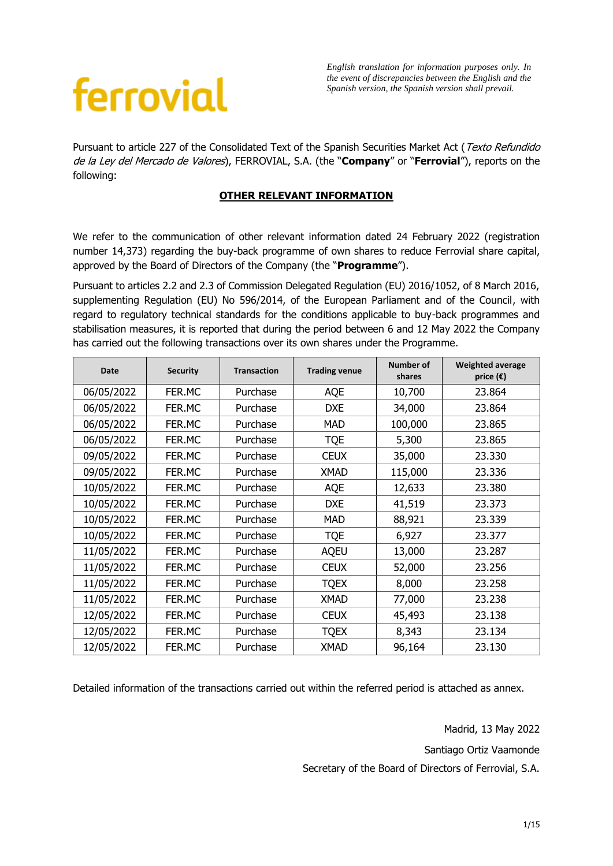## ferrovial

*English translation for information purposes only. In the event of discrepancies between the English and the Spanish version, the Spanish version shall prevail.*

Pursuant to article 227 of the Consolidated Text of the Spanish Securities Market Act (Texto Refundido de la Ley del Mercado de Valores), FERROVIAL, S.A. (the "**Company**" or "**Ferrovial**"), reports on the following:

## **OTHER RELEVANT INFORMATION**

We refer to the communication of other relevant information dated 24 February 2022 (registration number 14,373) regarding the buy-back programme of own shares to reduce Ferrovial share capital, approved by the Board of Directors of the Company (the "**Programme**").

Pursuant to articles 2.2 and 2.3 of Commission Delegated Regulation (EU) 2016/1052, of 8 March 2016, supplementing Regulation (EU) No 596/2014, of the European Parliament and of the Council, with regard to regulatory technical standards for the conditions applicable to buy-back programmes and stabilisation measures, it is reported that during the period between 6 and 12 May 2022 the Company has carried out the following transactions over its own shares under the Programme.

| <b>Date</b> | <b>Security</b> | <b>Transaction</b> | <b>Trading venue</b> | Number of<br>shares | <b>Weighted average</b><br>price $(\epsilon)$ |
|-------------|-----------------|--------------------|----------------------|---------------------|-----------------------------------------------|
| 06/05/2022  | FER.MC          | Purchase           | AQE                  | 10,700              | 23.864                                        |
| 06/05/2022  | FER.MC          | Purchase           | <b>DXE</b>           | 34,000              | 23.864                                        |
| 06/05/2022  | FER.MC          | Purchase           | MAD                  | 100,000             | 23.865                                        |
| 06/05/2022  | FER.MC          | Purchase           | <b>TQE</b>           | 5,300               | 23.865                                        |
| 09/05/2022  | FER.MC          | Purchase           | <b>CEUX</b>          | 35,000              | 23.330                                        |
| 09/05/2022  | FER.MC          | Purchase           | <b>XMAD</b>          | 115,000             | 23.336                                        |
| 10/05/2022  | FER.MC          | Purchase           | AQE                  | 12,633              | 23.380                                        |
| 10/05/2022  | FER.MC          | Purchase           | <b>DXE</b>           | 41,519              | 23.373                                        |
| 10/05/2022  | FER.MC          | Purchase           | MAD                  | 88,921              | 23.339                                        |
| 10/05/2022  | FER.MC          | Purchase           | <b>TQE</b>           | 6,927               | 23.377                                        |
| 11/05/2022  | FER.MC          | Purchase           | <b>AQEU</b>          | 13,000              | 23.287                                        |
| 11/05/2022  | FER.MC          | Purchase           | <b>CEUX</b>          | 52,000              | 23.256                                        |
| 11/05/2022  | FER.MC          | Purchase           | <b>TQEX</b>          | 8,000               | 23.258                                        |
| 11/05/2022  | FER.MC          | Purchase           | <b>XMAD</b>          | 77,000              | 23.238                                        |
| 12/05/2022  | FER.MC          | Purchase           | <b>CEUX</b>          | 45,493              | 23.138                                        |
| 12/05/2022  | FER.MC          | Purchase           | <b>TQEX</b>          | 8,343               | 23.134                                        |
| 12/05/2022  | FER.MC          | Purchase           | <b>XMAD</b>          | 96,164              | 23.130                                        |

Detailed information of the transactions carried out within the referred period is attached as annex.

Madrid, 13 May 2022 Santiago Ortiz Vaamonde Secretary of the Board of Directors of Ferrovial, S.A.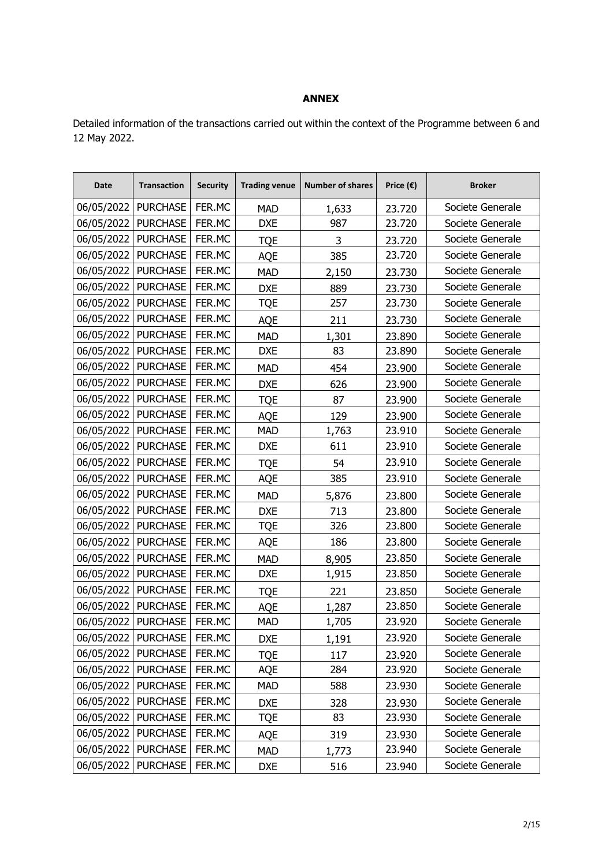## **ANNEX**

Detailed information of the transactions carried out within the context of the Programme between 6 and 12 May 2022.

| <b>Date</b>           | <b>Transaction</b>    | <b>Security</b> | <b>Trading venue</b> | <b>Number of shares</b> | Price $(\epsilon)$ | <b>Broker</b>    |
|-----------------------|-----------------------|-----------------|----------------------|-------------------------|--------------------|------------------|
| 06/05/2022            | <b>PURCHASE</b>       | FER.MC          | <b>MAD</b>           | 1,633                   | 23.720             | Societe Generale |
| 06/05/2022            | <b>PURCHASE</b>       | FER.MC          | <b>DXE</b>           | 987                     | 23.720             | Societe Generale |
| 06/05/2022   PURCHASE |                       | FER.MC          | <b>TQE</b>           | 3                       | 23.720             | Societe Generale |
| 06/05/2022            | <b>PURCHASE</b>       | FER.MC          | AQE                  | 385                     | 23.720             | Societe Generale |
| 06/05/2022            | <b>PURCHASE</b>       | FER.MC          | <b>MAD</b>           | 2,150                   | 23.730             | Societe Generale |
| 06/05/2022            | <b>PURCHASE</b>       | FER.MC          | <b>DXE</b>           | 889                     | 23.730             | Societe Generale |
| 06/05/2022            | <b>PURCHASE</b>       | FER.MC          | <b>TQE</b>           | 257                     | 23.730             | Societe Generale |
| 06/05/2022            | <b>PURCHASE</b>       | FER.MC          | AQE                  | 211                     | 23.730             | Societe Generale |
| 06/05/2022            | <b>PURCHASE</b>       | FER.MC          | <b>MAD</b>           | 1,301                   | 23.890             | Societe Generale |
| 06/05/2022            | <b>PURCHASE</b>       | FER.MC          | <b>DXE</b>           | 83                      | 23.890             | Societe Generale |
| 06/05/2022            | <b>PURCHASE</b>       | FER.MC          | <b>MAD</b>           | 454                     | 23.900             | Societe Generale |
| 06/05/2022            | <b>PURCHASE</b>       | FER.MC          | <b>DXE</b>           | 626                     | 23.900             | Societe Generale |
| 06/05/2022            | <b>PURCHASE</b>       | FER.MC          | <b>TQE</b>           | 87                      | 23.900             | Societe Generale |
| 06/05/2022            | <b>PURCHASE</b>       | FER.MC          | AQE                  | 129                     | 23.900             | Societe Generale |
| 06/05/2022   PURCHASE |                       | FER.MC          | <b>MAD</b>           | 1,763                   | 23.910             | Societe Generale |
| 06/05/2022            | <b>PURCHASE</b>       | FER.MC          | <b>DXE</b>           | 611                     | 23.910             | Societe Generale |
| 06/05/2022            | <b>PURCHASE</b>       | FER.MC          | <b>TQE</b>           | 54                      | 23.910             | Societe Generale |
| 06/05/2022            | <b>PURCHASE</b>       | FER.MC          | <b>AQE</b>           | 385                     | 23.910             | Societe Generale |
| 06/05/2022            | <b>PURCHASE</b>       | FER.MC          | <b>MAD</b>           | 5,876                   | 23.800             | Societe Generale |
| 06/05/2022            | <b>PURCHASE</b>       | FER.MC          | <b>DXE</b>           | 713                     | 23.800             | Societe Generale |
| 06/05/2022            | <b>PURCHASE</b>       | FER.MC          | <b>TQE</b>           | 326                     | 23.800             | Societe Generale |
| 06/05/2022            | <b>PURCHASE</b>       | FER.MC          | AQE                  | 186                     | 23.800             | Societe Generale |
| 06/05/2022            | <b>PURCHASE</b>       | FER.MC          | <b>MAD</b>           | 8,905                   | 23.850             | Societe Generale |
| 06/05/2022            | <b>PURCHASE</b>       | FER.MC          | <b>DXE</b>           | 1,915                   | 23.850             | Societe Generale |
| 06/05/2022            | <b>PURCHASE</b>       | FER.MC          | <b>TQE</b>           | 221                     | 23.850             | Societe Generale |
| 06/05/2022            | <b>PURCHASE</b>       | FER.MC          | AQE                  | 1,287                   | 23.850             | Societe Generale |
| 06/05/2022            | <b>PURCHASE</b>       | FER.MC          | <b>MAD</b>           | 1,705                   | 23.920             | Societe Generale |
| 06/05/2022            | <b>PURCHASE</b>       | FER.MC          | <b>DXE</b>           | 1,191                   | 23.920             | Societe Generale |
|                       | 06/05/2022   PURCHASE | FER.MC          | <b>TQE</b>           | 117                     | 23.920             | Societe Generale |
|                       | 06/05/2022   PURCHASE | FER.MC          | AQE                  | 284                     | 23.920             | Societe Generale |
| 06/05/2022            | <b>PURCHASE</b>       | FER.MC          | <b>MAD</b>           | 588                     | 23.930             | Societe Generale |
|                       | 06/05/2022   PURCHASE | FER.MC          | <b>DXE</b>           | 328                     | 23.930             | Societe Generale |
| 06/05/2022            | <b>PURCHASE</b>       | FER.MC          | <b>TQE</b>           | 83                      | 23.930             | Societe Generale |
| 06/05/2022            | <b>PURCHASE</b>       | FER.MC          | AQE                  | 319                     | 23.930             | Societe Generale |
| 06/05/2022            | <b>PURCHASE</b>       | FER.MC          | <b>MAD</b>           | 1,773                   | 23.940             | Societe Generale |
| 06/05/2022            | <b>PURCHASE</b>       | FER.MC          | <b>DXE</b>           | 516                     | 23.940             | Societe Generale |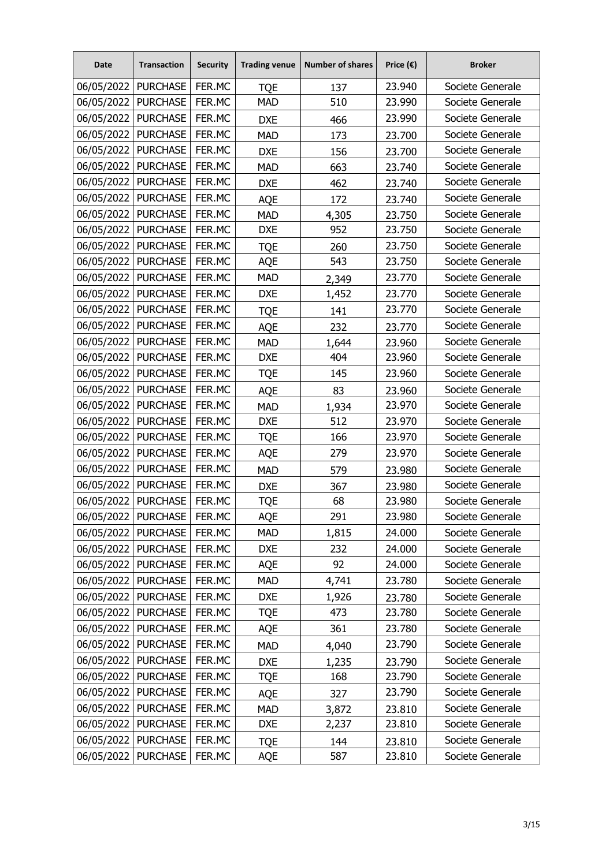| <b>Date</b>           | <b>Transaction</b>    | <b>Security</b> | <b>Trading venue</b> | <b>Number of shares</b> | Price $(\epsilon)$ | <b>Broker</b>    |
|-----------------------|-----------------------|-----------------|----------------------|-------------------------|--------------------|------------------|
| 06/05/2022            | <b>PURCHASE</b>       | FER.MC          | <b>TQE</b>           | 137                     | 23.940             | Societe Generale |
| 06/05/2022            | <b>PURCHASE</b>       | FER.MC          | <b>MAD</b>           | 510                     | 23.990             | Societe Generale |
| 06/05/2022            | <b>PURCHASE</b>       | FER.MC          | <b>DXE</b>           | 466                     | 23.990             | Societe Generale |
| 06/05/2022            | <b>PURCHASE</b>       | FER.MC          | <b>MAD</b>           | 173                     | 23.700             | Societe Generale |
| 06/05/2022            | <b>PURCHASE</b>       | FER.MC          | <b>DXE</b>           | 156                     | 23.700             | Societe Generale |
| 06/05/2022            | <b>PURCHASE</b>       | FER.MC          | <b>MAD</b>           | 663                     | 23.740             | Societe Generale |
| 06/05/2022            | <b>PURCHASE</b>       | FER.MC          | <b>DXE</b>           | 462                     | 23.740             | Societe Generale |
| 06/05/2022            | <b>PURCHASE</b>       | FER.MC          | <b>AQE</b>           | 172                     | 23.740             | Societe Generale |
| 06/05/2022            | <b>PURCHASE</b>       | FER.MC          | <b>MAD</b>           | 4,305                   | 23.750             | Societe Generale |
| 06/05/2022            | <b>PURCHASE</b>       | FER.MC          | <b>DXE</b>           | 952                     | 23.750             | Societe Generale |
| 06/05/2022            | <b>PURCHASE</b>       | FER.MC          | <b>TQE</b>           | 260                     | 23.750             | Societe Generale |
| 06/05/2022            | <b>PURCHASE</b>       | FER.MC          | <b>AQE</b>           | 543                     | 23.750             | Societe Generale |
| 06/05/2022   PURCHASE |                       | FER.MC          | <b>MAD</b>           | 2,349                   | 23.770             | Societe Generale |
| 06/05/2022            | <b>PURCHASE</b>       | FER.MC          | <b>DXE</b>           | 1,452                   | 23.770             | Societe Generale |
| 06/05/2022            | <b>PURCHASE</b>       | FER.MC          | <b>TQE</b>           | 141                     | 23.770             | Societe Generale |
| 06/05/2022            | <b>PURCHASE</b>       | FER.MC          | <b>AQE</b>           | 232                     | 23.770             | Societe Generale |
| 06/05/2022            | <b>PURCHASE</b>       | FER.MC          | <b>MAD</b>           | 1,644                   | 23.960             | Societe Generale |
| 06/05/2022            | <b>PURCHASE</b>       | FER.MC          | <b>DXE</b>           | 404                     | 23.960             | Societe Generale |
| 06/05/2022            | <b>PURCHASE</b>       | FER.MC          | <b>TQE</b>           | 145                     | 23.960             | Societe Generale |
| 06/05/2022            | <b>PURCHASE</b>       | FER.MC          | <b>AQE</b>           | 83                      | 23.960             | Societe Generale |
| 06/05/2022            | <b>PURCHASE</b>       | FER.MC          | <b>MAD</b>           | 1,934                   | 23.970             | Societe Generale |
| 06/05/2022            | <b>PURCHASE</b>       | FER.MC          | <b>DXE</b>           | 512                     | 23.970             | Societe Generale |
| 06/05/2022            | <b>PURCHASE</b>       | FER.MC          | <b>TQE</b>           | 166                     | 23.970             | Societe Generale |
| 06/05/2022            | <b>PURCHASE</b>       | FER.MC          | <b>AQE</b>           | 279                     | 23.970             | Societe Generale |
| 06/05/2022            | <b>PURCHASE</b>       | FER.MC          | <b>MAD</b>           | 579                     | 23.980             | Societe Generale |
| 06/05/2022            | <b>PURCHASE</b>       | FER.MC          | <b>DXE</b>           | 367                     | 23.980             | Societe Generale |
| 06/05/2022            | <b>PURCHASE</b>       | FER.MC          | <b>TQE</b>           | 68                      | 23.980             | Societe Generale |
| 06/05/2022            | <b>PURCHASE</b>       | FER.MC          | AQE                  | 291                     | 23.980             | Societe Generale |
| 06/05/2022            | <b>PURCHASE</b>       | FER.MC          | <b>MAD</b>           | 1,815                   | 24.000             | Societe Generale |
|                       | 06/05/2022   PURCHASE | FER.MC          | <b>DXE</b>           | 232                     | 24.000             | Societe Generale |
| 06/05/2022            | <b>PURCHASE</b>       | FER.MC          | AQE                  | 92                      | 24.000             | Societe Generale |
|                       | 06/05/2022   PURCHASE | FER.MC          | <b>MAD</b>           | 4,741                   | 23.780             | Societe Generale |
| 06/05/2022            | <b>PURCHASE</b>       | FER.MC          | <b>DXE</b>           | 1,926                   | 23.780             | Societe Generale |
| 06/05/2022            | <b>PURCHASE</b>       | FER.MC          | <b>TQE</b>           | 473                     | 23.780             | Societe Generale |
|                       | 06/05/2022   PURCHASE | FER.MC          | AQE                  | 361                     | 23.780             | Societe Generale |
| 06/05/2022            | <b>PURCHASE</b>       | FER.MC          | <b>MAD</b>           | 4,040                   | 23.790             | Societe Generale |
| 06/05/2022            | <b>PURCHASE</b>       | FER.MC          | <b>DXE</b>           | 1,235                   | 23.790             | Societe Generale |
| 06/05/2022            | <b>PURCHASE</b>       | FER.MC          | <b>TQE</b>           | 168                     | 23.790             | Societe Generale |
| 06/05/2022            | <b>PURCHASE</b>       | FER.MC          | AQE                  | 327                     | 23.790             | Societe Generale |
| 06/05/2022            | <b>PURCHASE</b>       | FER.MC          | <b>MAD</b>           | 3,872                   | 23.810             | Societe Generale |
| 06/05/2022            | <b>PURCHASE</b>       | FER.MC          | <b>DXE</b>           | 2,237                   | 23.810             | Societe Generale |
| 06/05/2022            | <b>PURCHASE</b>       | FER.MC          | <b>TQE</b>           | 144                     | 23.810             | Societe Generale |
| 06/05/2022            | <b>PURCHASE</b>       | FER.MC          | AQE                  | 587                     | 23.810             | Societe Generale |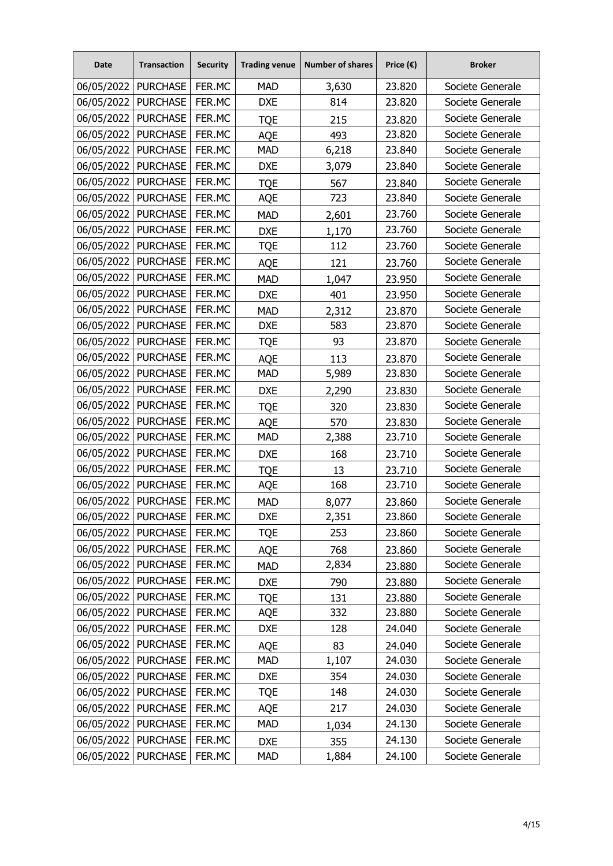| Date                  | <b>Transaction</b>    | <b>Security</b> | <b>Trading venue</b> | <b>Number of shares</b> | Price $(\epsilon)$ | <b>Broker</b>    |
|-----------------------|-----------------------|-----------------|----------------------|-------------------------|--------------------|------------------|
| 06/05/2022            | <b>PURCHASE</b>       | FER.MC          | <b>MAD</b>           | 3,630                   | 23.820             | Societe Generale |
| 06/05/2022            | <b>PURCHASE</b>       | FER.MC          | <b>DXE</b>           | 814                     | 23.820             | Societe Generale |
| 06/05/2022            | <b>PURCHASE</b>       | FER.MC          | <b>TQE</b>           | 215                     | 23.820             | Societe Generale |
| 06/05/2022            | <b>PURCHASE</b>       | FER.MC          | <b>AQE</b>           | 493                     | 23.820             | Societe Generale |
| 06/05/2022            | <b>PURCHASE</b>       | FER.MC          | <b>MAD</b>           | 6,218                   | 23.840             | Societe Generale |
| 06/05/2022   PURCHASE |                       | FER.MC          | <b>DXE</b>           | 3,079                   | 23.840             | Societe Generale |
| 06/05/2022            | <b>PURCHASE</b>       | FER.MC          | <b>TQE</b>           | 567                     | 23.840             | Societe Generale |
| 06/05/2022            | <b>PURCHASE</b>       | FER.MC          | AQE                  | 723                     | 23.840             | Societe Generale |
| 06/05/2022            | <b>PURCHASE</b>       | FER.MC          | <b>MAD</b>           | 2,601                   | 23.760             | Societe Generale |
| 06/05/2022            | <b>PURCHASE</b>       | FER.MC          | <b>DXE</b>           | 1,170                   | 23.760             | Societe Generale |
| 06/05/2022            | <b>PURCHASE</b>       | FER.MC          | <b>TQE</b>           | 112                     | 23.760             | Societe Generale |
| 06/05/2022            | <b>PURCHASE</b>       | FER.MC          | <b>AQE</b>           | 121                     | 23.760             | Societe Generale |
| 06/05/2022   PURCHASE |                       | FER.MC          | <b>MAD</b>           | 1,047                   | 23.950             | Societe Generale |
| 06/05/2022            | <b>PURCHASE</b>       | FER.MC          | <b>DXE</b>           | 401                     | 23.950             | Societe Generale |
| 06/05/2022            | <b>PURCHASE</b>       | FER.MC          | <b>MAD</b>           | 2,312                   | 23.870             | Societe Generale |
| 06/05/2022            | <b>PURCHASE</b>       | FER.MC          | <b>DXE</b>           | 583                     | 23.870             | Societe Generale |
| 06/05/2022            | <b>PURCHASE</b>       | FER.MC          | <b>TQE</b>           | 93                      | 23.870             | Societe Generale |
| 06/05/2022            | <b>PURCHASE</b>       | FER.MC          | <b>AQE</b>           | 113                     | 23.870             | Societe Generale |
| 06/05/2022            | <b>PURCHASE</b>       | FER.MC          | <b>MAD</b>           | 5,989                   | 23.830             | Societe Generale |
| 06/05/2022            | <b>PURCHASE</b>       | FER.MC          | <b>DXE</b>           | 2,290                   | 23.830             | Societe Generale |
| 06/05/2022            | <b>PURCHASE</b>       | FER.MC          | <b>TQE</b>           | 320                     | 23.830             | Societe Generale |
| 06/05/2022            | <b>PURCHASE</b>       | FER.MC          | <b>AQE</b>           | 570                     | 23.830             | Societe Generale |
| 06/05/2022            | <b>PURCHASE</b>       | FER.MC          | <b>MAD</b>           | 2,388                   | 23.710             | Societe Generale |
| 06/05/2022            | <b>PURCHASE</b>       | FER.MC          | <b>DXE</b>           | 168                     | 23.710             | Societe Generale |
| 06/05/2022            | <b>PURCHASE</b>       | FER.MC          | <b>TQE</b>           | 13                      | 23.710             | Societe Generale |
| 06/05/2022            | <b>PURCHASE</b>       | FER.MC          | <b>AQE</b>           | 168                     | 23.710             | Societe Generale |
| 06/05/2022            | <b>PURCHASE</b>       | FER.MC          | <b>MAD</b>           | 8,077                   | 23.860             | Societe Generale |
| 06/05/2022            | <b>PURCHASE</b>       | FER.MC          | <b>DXE</b>           | 2,351                   | 23.860             | Societe Generale |
| 06/05/2022            | <b>PURCHASE</b>       | FER.MC          | <b>TQE</b>           | 253                     | 23.860             | Societe Generale |
| 06/05/2022   PURCHASE |                       | FER.MC          | AQE                  | 768                     | 23.860             | Societe Generale |
| 06/05/2022            | <b>PURCHASE</b>       | FER.MC          | <b>MAD</b>           | 2,834                   | 23.880             | Societe Generale |
| 06/05/2022            | <b>PURCHASE</b>       | FER.MC          | <b>DXE</b>           | 790                     | 23.880             | Societe Generale |
| 06/05/2022            | <b>PURCHASE</b>       | FER.MC          | <b>TQE</b>           | 131                     | 23.880             | Societe Generale |
| 06/05/2022            | <b>PURCHASE</b>       | FER.MC          | AQE                  | 332                     | 23.880             | Societe Generale |
|                       | 06/05/2022   PURCHASE | FER.MC          | <b>DXE</b>           | 128                     | 24.040             | Societe Generale |
| 06/05/2022            | <b>PURCHASE</b>       | FER.MC          | AQE                  | 83                      | 24.040             | Societe Generale |
| 06/05/2022            | <b>PURCHASE</b>       | FER.MC          | <b>MAD</b>           | 1,107                   | 24.030             | Societe Generale |
| 06/05/2022            | <b>PURCHASE</b>       | FER.MC          | <b>DXE</b>           | 354                     | 24.030             | Societe Generale |
| 06/05/2022            | <b>PURCHASE</b>       | FER.MC          | <b>TQE</b>           | 148                     | 24.030             | Societe Generale |
| 06/05/2022            | <b>PURCHASE</b>       | FER.MC          | AQE                  | 217                     | 24.030             | Societe Generale |
| 06/05/2022            | <b>PURCHASE</b>       | FER.MC          | <b>MAD</b>           | 1,034                   | 24.130             | Societe Generale |
| 06/05/2022            | <b>PURCHASE</b>       | FER.MC          | <b>DXE</b>           | 355                     | 24.130             | Societe Generale |
| 06/05/2022            | <b>PURCHASE</b>       | FER.MC          | <b>MAD</b>           | 1,884                   | 24.100             | Societe Generale |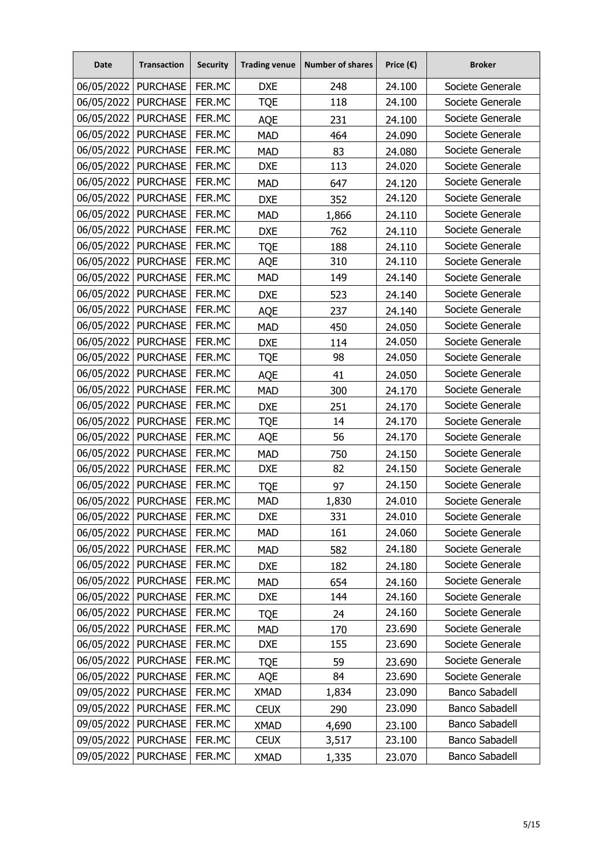| <b>Date</b> | <b>Transaction</b>    | <b>Security</b> | <b>Trading venue</b> | <b>Number of shares</b> | Price $(\epsilon)$ | <b>Broker</b>         |
|-------------|-----------------------|-----------------|----------------------|-------------------------|--------------------|-----------------------|
| 06/05/2022  | <b>PURCHASE</b>       | FER.MC          | <b>DXE</b>           | 248                     | 24.100             | Societe Generale      |
| 06/05/2022  | <b>PURCHASE</b>       | FER.MC          | <b>TQE</b>           | 118                     | 24.100             | Societe Generale      |
| 06/05/2022  | <b>PURCHASE</b>       | FER.MC          | <b>AQE</b>           | 231                     | 24.100             | Societe Generale      |
| 06/05/2022  | <b>PURCHASE</b>       | FER.MC          | <b>MAD</b>           | 464                     | 24.090             | Societe Generale      |
| 06/05/2022  | <b>PURCHASE</b>       | FER.MC          | <b>MAD</b>           | 83                      | 24.080             | Societe Generale      |
| 06/05/2022  | <b>PURCHASE</b>       | FER.MC          | <b>DXE</b>           | 113                     | 24.020             | Societe Generale      |
| 06/05/2022  | <b>PURCHASE</b>       | FER.MC          | <b>MAD</b>           | 647                     | 24.120             | Societe Generale      |
| 06/05/2022  | <b>PURCHASE</b>       | FER.MC          | <b>DXE</b>           | 352                     | 24.120             | Societe Generale      |
| 06/05/2022  | <b>PURCHASE</b>       | FER.MC          | <b>MAD</b>           | 1,866                   | 24.110             | Societe Generale      |
| 06/05/2022  | <b>PURCHASE</b>       | FER.MC          | <b>DXE</b>           | 762                     | 24.110             | Societe Generale      |
| 06/05/2022  | <b>PURCHASE</b>       | FER.MC          | <b>TQE</b>           | 188                     | 24.110             | Societe Generale      |
| 06/05/2022  | <b>PURCHASE</b>       | FER.MC          | AQE                  | 310                     | 24.110             | Societe Generale      |
| 06/05/2022  | <b>PURCHASE</b>       | FER.MC          | <b>MAD</b>           | 149                     | 24.140             | Societe Generale      |
| 06/05/2022  | <b>PURCHASE</b>       | FER.MC          | <b>DXE</b>           | 523                     | 24.140             | Societe Generale      |
| 06/05/2022  | <b>PURCHASE</b>       | FER.MC          | <b>AQE</b>           | 237                     | 24.140             | Societe Generale      |
| 06/05/2022  | <b>PURCHASE</b>       | FER.MC          | <b>MAD</b>           | 450                     | 24.050             | Societe Generale      |
| 06/05/2022  | <b>PURCHASE</b>       | FER.MC          | <b>DXE</b>           | 114                     | 24.050             | Societe Generale      |
| 06/05/2022  | <b>PURCHASE</b>       | FER.MC          | <b>TQE</b>           | 98                      | 24.050             | Societe Generale      |
| 06/05/2022  | <b>PURCHASE</b>       | FER.MC          | <b>AQE</b>           | 41                      | 24.050             | Societe Generale      |
| 06/05/2022  | <b>PURCHASE</b>       | FER.MC          | <b>MAD</b>           | 300                     | 24.170             | Societe Generale      |
| 06/05/2022  | <b>PURCHASE</b>       | FER.MC          | <b>DXE</b>           | 251                     | 24.170             | Societe Generale      |
| 06/05/2022  | <b>PURCHASE</b>       | FER.MC          | <b>TQE</b>           | 14                      | 24.170             | Societe Generale      |
| 06/05/2022  | <b>PURCHASE</b>       | FER.MC          | <b>AQE</b>           | 56                      | 24.170             | Societe Generale      |
| 06/05/2022  | <b>PURCHASE</b>       | FER.MC          | <b>MAD</b>           | 750                     | 24.150             | Societe Generale      |
| 06/05/2022  | <b>PURCHASE</b>       | FER.MC          | <b>DXE</b>           | 82                      | 24.150             | Societe Generale      |
| 06/05/2022  | <b>PURCHASE</b>       | FER.MC          | <b>TQE</b>           | 97                      | 24.150             | Societe Generale      |
| 06/05/2022  | <b>PURCHASE</b>       | FER.MC          | <b>MAD</b>           | 1,830                   | 24.010             | Societe Generale      |
| 06/05/2022  | <b>PURCHASE</b>       | FER.MC          | <b>DXE</b>           | 331                     | 24.010             | Societe Generale      |
| 06/05/2022  | <b>PURCHASE</b>       | FER.MC          | <b>MAD</b>           | 161                     | 24.060             | Societe Generale      |
|             | 06/05/2022   PURCHASE | FER.MC          | <b>MAD</b>           | 582                     | 24.180             | Societe Generale      |
| 06/05/2022  | <b>PURCHASE</b>       | FER.MC          | <b>DXE</b>           | 182                     | 24.180             | Societe Generale      |
| 06/05/2022  | <b>PURCHASE</b>       | FER.MC          | <b>MAD</b>           | 654                     | 24.160             | Societe Generale      |
| 06/05/2022  | <b>PURCHASE</b>       | FER.MC          | <b>DXE</b>           | 144                     | 24.160             | Societe Generale      |
| 06/05/2022  | <b>PURCHASE</b>       | FER.MC          | <b>TQE</b>           | 24                      | 24.160             | Societe Generale      |
|             | 06/05/2022   PURCHASE | FER.MC          | <b>MAD</b>           | 170                     | 23.690             | Societe Generale      |
| 06/05/2022  | <b>PURCHASE</b>       | FER.MC          | <b>DXE</b>           | 155                     | 23.690             | Societe Generale      |
| 06/05/2022  | <b>PURCHASE</b>       | FER.MC          | <b>TQE</b>           | 59                      | 23.690             | Societe Generale      |
| 06/05/2022  | <b>PURCHASE</b>       | FER.MC          | AQE                  | 84                      | 23.690             | Societe Generale      |
| 09/05/2022  | <b>PURCHASE</b>       | FER.MC          | <b>XMAD</b>          | 1,834                   | 23.090             | <b>Banco Sabadell</b> |
| 09/05/2022  | <b>PURCHASE</b>       | FER.MC          | <b>CEUX</b>          | 290                     | 23.090             | <b>Banco Sabadell</b> |
| 09/05/2022  | <b>PURCHASE</b>       | FER.MC          | <b>XMAD</b>          | 4,690                   | 23.100             | <b>Banco Sabadell</b> |
| 09/05/2022  | <b>PURCHASE</b>       | FER.MC          | <b>CEUX</b>          | 3,517                   | 23.100             | <b>Banco Sabadell</b> |
| 09/05/2022  | <b>PURCHASE</b>       | FER.MC          | <b>XMAD</b>          | 1,335                   | 23.070             | <b>Banco Sabadell</b> |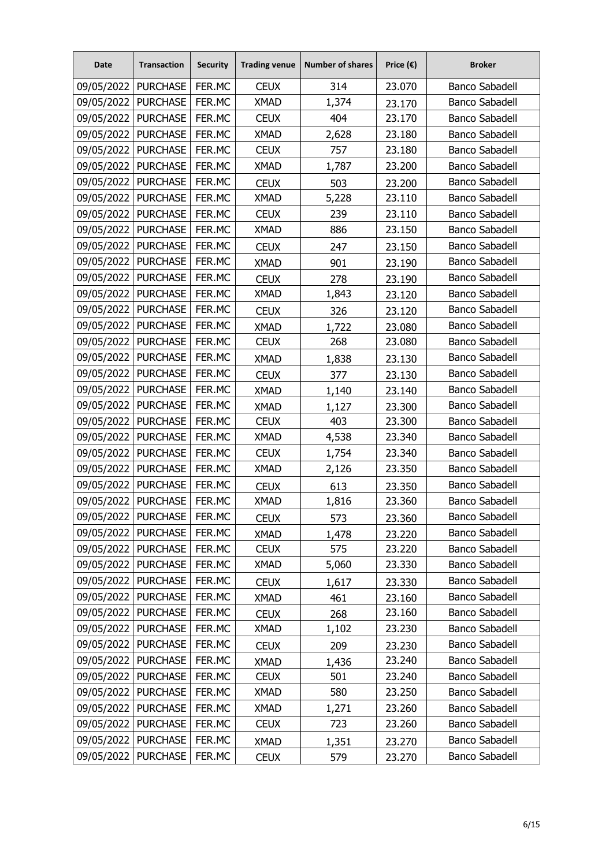| <b>Date</b>           | <b>Transaction</b>    | <b>Security</b> | <b>Trading venue</b> | <b>Number of shares</b> | Price $(\epsilon)$ | <b>Broker</b>         |
|-----------------------|-----------------------|-----------------|----------------------|-------------------------|--------------------|-----------------------|
| 09/05/2022            | <b>PURCHASE</b>       | FER.MC          | <b>CEUX</b>          | 314                     | 23.070             | <b>Banco Sabadell</b> |
| 09/05/2022            | <b>PURCHASE</b>       | FER.MC          | <b>XMAD</b>          | 1,374                   | 23.170             | <b>Banco Sabadell</b> |
| 09/05/2022   PURCHASE |                       | FER.MC          | <b>CEUX</b>          | 404                     | 23.170             | <b>Banco Sabadell</b> |
| 09/05/2022            | <b>PURCHASE</b>       | FER.MC          | <b>XMAD</b>          | 2,628                   | 23.180             | <b>Banco Sabadell</b> |
| 09/05/2022            | <b>PURCHASE</b>       | FER.MC          | <b>CEUX</b>          | 757                     | 23.180             | <b>Banco Sabadell</b> |
| 09/05/2022            | <b>PURCHASE</b>       | FER.MC          | <b>XMAD</b>          | 1,787                   | 23.200             | <b>Banco Sabadell</b> |
| 09/05/2022            | <b>PURCHASE</b>       | FER.MC          | <b>CEUX</b>          | 503                     | 23.200             | <b>Banco Sabadell</b> |
| 09/05/2022            | <b>PURCHASE</b>       | FER.MC          | <b>XMAD</b>          | 5,228                   | 23.110             | <b>Banco Sabadell</b> |
| 09/05/2022            | <b>PURCHASE</b>       | FER.MC          | <b>CEUX</b>          | 239                     | 23.110             | <b>Banco Sabadell</b> |
| 09/05/2022            | <b>PURCHASE</b>       | FER.MC          | <b>XMAD</b>          | 886                     | 23.150             | <b>Banco Sabadell</b> |
| 09/05/2022            | <b>PURCHASE</b>       | FER.MC          | <b>CEUX</b>          | 247                     | 23.150             | <b>Banco Sabadell</b> |
| 09/05/2022            | <b>PURCHASE</b>       | FER.MC          | <b>XMAD</b>          | 901                     | 23.190             | <b>Banco Sabadell</b> |
| 09/05/2022            | <b>PURCHASE</b>       | FER.MC          | <b>CEUX</b>          | 278                     | 23.190             | <b>Banco Sabadell</b> |
| 09/05/2022            | <b>PURCHASE</b>       | FER.MC          | <b>XMAD</b>          | 1,843                   | 23.120             | <b>Banco Sabadell</b> |
| 09/05/2022            | <b>PURCHASE</b>       | FER.MC          | <b>CEUX</b>          | 326                     | 23.120             | <b>Banco Sabadell</b> |
| 09/05/2022            | <b>PURCHASE</b>       | FER.MC          | <b>XMAD</b>          | 1,722                   | 23.080             | <b>Banco Sabadell</b> |
| 09/05/2022            | <b>PURCHASE</b>       | FER.MC          | <b>CEUX</b>          | 268                     | 23.080             | <b>Banco Sabadell</b> |
| 09/05/2022            | <b>PURCHASE</b>       | FER.MC          | <b>XMAD</b>          | 1,838                   | 23.130             | <b>Banco Sabadell</b> |
| 09/05/2022            | <b>PURCHASE</b>       | FER.MC          | <b>CEUX</b>          | 377                     | 23.130             | <b>Banco Sabadell</b> |
| 09/05/2022   PURCHASE |                       | FER.MC          | <b>XMAD</b>          | 1,140                   | 23.140             | <b>Banco Sabadell</b> |
| 09/05/2022            | <b>PURCHASE</b>       | FER.MC          | <b>XMAD</b>          | 1,127                   | 23.300             | <b>Banco Sabadell</b> |
| 09/05/2022            | <b>PURCHASE</b>       | FER.MC          | <b>CEUX</b>          | 403                     | 23.300             | <b>Banco Sabadell</b> |
| 09/05/2022            | <b>PURCHASE</b>       | FER.MC          | <b>XMAD</b>          | 4,538                   | 23.340             | <b>Banco Sabadell</b> |
| 09/05/2022            | <b>PURCHASE</b>       | FER.MC          | <b>CEUX</b>          | 1,754                   | 23.340             | Banco Sabadell        |
| 09/05/2022            | <b>PURCHASE</b>       | FER.MC          | <b>XMAD</b>          | 2,126                   | 23.350             | <b>Banco Sabadell</b> |
| 09/05/2022            | <b>PURCHASE</b>       | FER.MC          | <b>CEUX</b>          | 613                     | 23.350             | <b>Banco Sabadell</b> |
| 09/05/2022            | <b>PURCHASE</b>       | FER.MC          | <b>XMAD</b>          | 1,816                   | 23.360             | <b>Banco Sabadell</b> |
| 09/05/2022            | <b>PURCHASE</b>       | FER.MC          | <b>CEUX</b>          | 573                     | 23.360             | <b>Banco Sabadell</b> |
| 09/05/2022            | <b>PURCHASE</b>       | FER.MC          | <b>XMAD</b>          | 1,478                   | 23.220             | <b>Banco Sabadell</b> |
|                       | 09/05/2022   PURCHASE | FER.MC          | <b>CEUX</b>          | 575                     | 23.220             | <b>Banco Sabadell</b> |
| 09/05/2022            | <b>PURCHASE</b>       | FER.MC          | <b>XMAD</b>          | 5,060                   | 23.330             | <b>Banco Sabadell</b> |
| 09/05/2022            | <b>PURCHASE</b>       | FER.MC          | <b>CEUX</b>          | 1,617                   | 23.330             | <b>Banco Sabadell</b> |
| 09/05/2022            | <b>PURCHASE</b>       | FER.MC          | <b>XMAD</b>          | 461                     | 23.160             | <b>Banco Sabadell</b> |
| 09/05/2022            | <b>PURCHASE</b>       | FER.MC          | <b>CEUX</b>          | 268                     | 23.160             | <b>Banco Sabadell</b> |
| 09/05/2022            | <b>PURCHASE</b>       | FER.MC          | <b>XMAD</b>          | 1,102                   | 23.230             | <b>Banco Sabadell</b> |
| 09/05/2022            | <b>PURCHASE</b>       | FER.MC          | <b>CEUX</b>          | 209                     | 23.230             | <b>Banco Sabadell</b> |
| 09/05/2022            | <b>PURCHASE</b>       | FER.MC          | <b>XMAD</b>          | 1,436                   | 23.240             | <b>Banco Sabadell</b> |
| 09/05/2022            | <b>PURCHASE</b>       | FER.MC          | <b>CEUX</b>          | 501                     | 23.240             | <b>Banco Sabadell</b> |
| 09/05/2022            | <b>PURCHASE</b>       | FER.MC          | XMAD                 | 580                     | 23.250             | <b>Banco Sabadell</b> |
| 09/05/2022            | <b>PURCHASE</b>       | FER.MC          | <b>XMAD</b>          | 1,271                   | 23.260             | <b>Banco Sabadell</b> |
| 09/05/2022            | <b>PURCHASE</b>       | FER.MC          | <b>CEUX</b>          | 723                     | 23.260             | <b>Banco Sabadell</b> |
| 09/05/2022            | <b>PURCHASE</b>       | FER.MC          | <b>XMAD</b>          | 1,351                   | 23.270             | <b>Banco Sabadell</b> |
| 09/05/2022            | <b>PURCHASE</b>       | FER.MC          | <b>CEUX</b>          | 579                     | 23.270             | <b>Banco Sabadell</b> |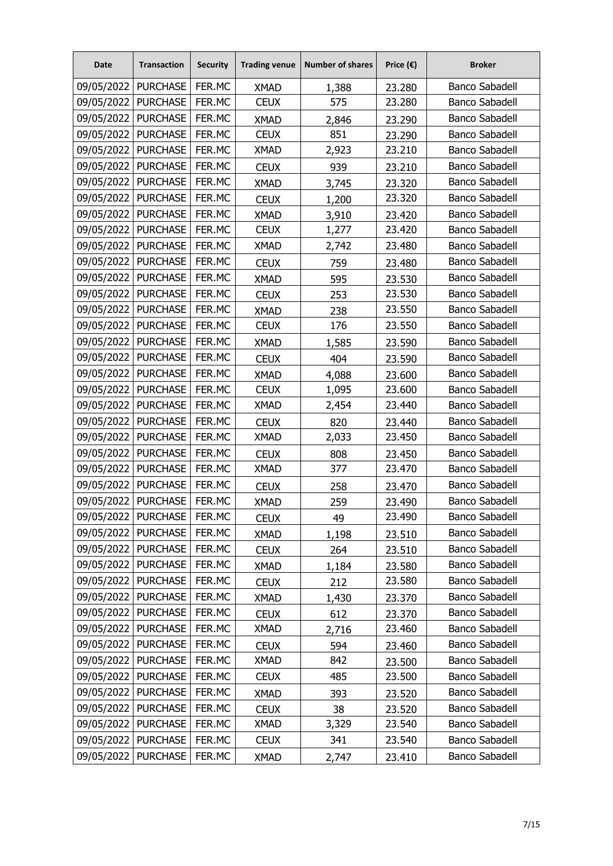| <b>Date</b>           | <b>Transaction</b>    | <b>Security</b> | <b>Trading venue</b> | <b>Number of shares</b> | Price $(\epsilon)$ | <b>Broker</b>         |
|-----------------------|-----------------------|-----------------|----------------------|-------------------------|--------------------|-----------------------|
| 09/05/2022            | <b>PURCHASE</b>       | FER.MC          | <b>XMAD</b>          | 1,388                   | 23.280             | <b>Banco Sabadell</b> |
| 09/05/2022            | <b>PURCHASE</b>       | FER.MC          | <b>CEUX</b>          | 575                     | 23.280             | <b>Banco Sabadell</b> |
| 09/05/2022            | <b>PURCHASE</b>       | FER.MC          | <b>XMAD</b>          | 2,846                   | 23.290             | <b>Banco Sabadell</b> |
| 09/05/2022            | <b>PURCHASE</b>       | FER.MC          | <b>CEUX</b>          | 851                     | 23.290             | <b>Banco Sabadell</b> |
| 09/05/2022            | <b>PURCHASE</b>       | FER.MC          | <b>XMAD</b>          | 2,923                   | 23.210             | <b>Banco Sabadell</b> |
| 09/05/2022   PURCHASE |                       | FER.MC          | <b>CEUX</b>          | 939                     | 23.210             | <b>Banco Sabadell</b> |
| 09/05/2022            | <b>PURCHASE</b>       | FER.MC          | <b>XMAD</b>          | 3,745                   | 23.320             | <b>Banco Sabadell</b> |
| 09/05/2022            | <b>PURCHASE</b>       | FER.MC          | <b>CEUX</b>          | 1,200                   | 23.320             | <b>Banco Sabadell</b> |
| 09/05/2022            | <b>PURCHASE</b>       | FER.MC          | <b>XMAD</b>          | 3,910                   | 23.420             | <b>Banco Sabadell</b> |
| 09/05/2022            | <b>PURCHASE</b>       | FER.MC          | <b>CEUX</b>          | 1,277                   | 23.420             | <b>Banco Sabadell</b> |
| 09/05/2022            | <b>PURCHASE</b>       | FER.MC          | <b>XMAD</b>          | 2,742                   | 23.480             | <b>Banco Sabadell</b> |
| 09/05/2022            | <b>PURCHASE</b>       | FER.MC          | <b>CEUX</b>          | 759                     | 23.480             | <b>Banco Sabadell</b> |
| 09/05/2022            | <b>PURCHASE</b>       | FER.MC          | <b>XMAD</b>          | 595                     | 23.530             | <b>Banco Sabadell</b> |
| 09/05/2022            | <b>PURCHASE</b>       | FER.MC          | <b>CEUX</b>          | 253                     | 23.530             | <b>Banco Sabadell</b> |
| 09/05/2022            | <b>PURCHASE</b>       | FER.MC          | <b>XMAD</b>          | 238                     | 23.550             | <b>Banco Sabadell</b> |
| 09/05/2022            | <b>PURCHASE</b>       | FER.MC          | <b>CEUX</b>          | 176                     | 23.550             | <b>Banco Sabadell</b> |
| 09/05/2022            | <b>PURCHASE</b>       | FER.MC          | <b>XMAD</b>          | 1,585                   | 23.590             | <b>Banco Sabadell</b> |
| 09/05/2022   PURCHASE |                       | FER.MC          | <b>CEUX</b>          | 404                     | 23.590             | <b>Banco Sabadell</b> |
| 09/05/2022            | <b>PURCHASE</b>       | FER.MC          | <b>XMAD</b>          | 4,088                   | 23.600             | <b>Banco Sabadell</b> |
| 09/05/2022            | <b>PURCHASE</b>       | FER.MC          | <b>CEUX</b>          | 1,095                   | 23.600             | <b>Banco Sabadell</b> |
| 09/05/2022            | <b>PURCHASE</b>       | FER.MC          | <b>XMAD</b>          | 2,454                   | 23.440             | <b>Banco Sabadell</b> |
| 09/05/2022            | <b>PURCHASE</b>       | FER.MC          | <b>CEUX</b>          | 820                     | 23.440             | <b>Banco Sabadell</b> |
| 09/05/2022            | <b>PURCHASE</b>       | FER.MC          | <b>XMAD</b>          | 2,033                   | 23.450             | <b>Banco Sabadell</b> |
| 09/05/2022            | <b>PURCHASE</b>       | FER.MC          | <b>CEUX</b>          | 808                     | 23.450             | <b>Banco Sabadell</b> |
| 09/05/2022            | <b>PURCHASE</b>       | FER.MC          | <b>XMAD</b>          | 377                     | 23.470             | <b>Banco Sabadell</b> |
| 09/05/2022            | <b>PURCHASE</b>       | FER.MC          | <b>CEUX</b>          | 258                     | 23.470             | <b>Banco Sabadell</b> |
| 09/05/2022            | <b>PURCHASE</b>       | FER.MC          | <b>XMAD</b>          | 259                     | 23.490             | <b>Banco Sabadell</b> |
| 09/05/2022            | <b>PURCHASE</b>       | FER.MC          | <b>CEUX</b>          | 49                      | 23.490             | <b>Banco Sabadell</b> |
| 09/05/2022   PURCHASE |                       | FER.MC          | <b>XMAD</b>          | 1,198                   | 23.510             | <b>Banco Sabadell</b> |
| 09/05/2022   PURCHASE |                       | FER.MC          | <b>CEUX</b>          | 264                     | 23.510             | <b>Banco Sabadell</b> |
| 09/05/2022            | <b>PURCHASE</b>       | FER.MC          | <b>XMAD</b>          | 1,184                   | 23.580             | <b>Banco Sabadell</b> |
|                       | 09/05/2022   PURCHASE | FER.MC          | <b>CEUX</b>          | 212                     | 23.580             | <b>Banco Sabadell</b> |
| 09/05/2022            | <b>PURCHASE</b>       | FER.MC          | <b>XMAD</b>          | 1,430                   | 23.370             | <b>Banco Sabadell</b> |
| 09/05/2022            | <b>PURCHASE</b>       | FER.MC          | <b>CEUX</b>          | 612                     | 23.370             | <b>Banco Sabadell</b> |
|                       | 09/05/2022   PURCHASE | FER.MC          | <b>XMAD</b>          | 2,716                   | 23.460             | <b>Banco Sabadell</b> |
| 09/05/2022            | <b>PURCHASE</b>       | FER.MC          | <b>CEUX</b>          | 594                     | 23.460             | <b>Banco Sabadell</b> |
| 09/05/2022   PURCHASE |                       | FER.MC          | XMAD                 | 842                     | 23.500             | <b>Banco Sabadell</b> |
| 09/05/2022            | <b>PURCHASE</b>       | FER.MC          | <b>CEUX</b>          | 485                     | 23.500             | <b>Banco Sabadell</b> |
| 09/05/2022            | <b>PURCHASE</b>       | FER.MC          | <b>XMAD</b>          | 393                     | 23.520             | <b>Banco Sabadell</b> |
| 09/05/2022            | <b>PURCHASE</b>       | FER.MC          | <b>CEUX</b>          | 38                      | 23.520             | <b>Banco Sabadell</b> |
| 09/05/2022            | <b>PURCHASE</b>       | FER.MC          | <b>XMAD</b>          | 3,329                   | 23.540             | <b>Banco Sabadell</b> |
| 09/05/2022            | <b>PURCHASE</b>       | FER.MC          | <b>CEUX</b>          | 341                     | 23.540             | <b>Banco Sabadell</b> |
| 09/05/2022            | <b>PURCHASE</b>       | FER.MC          | <b>XMAD</b>          | 2,747                   | 23.410             | Banco Sabadell        |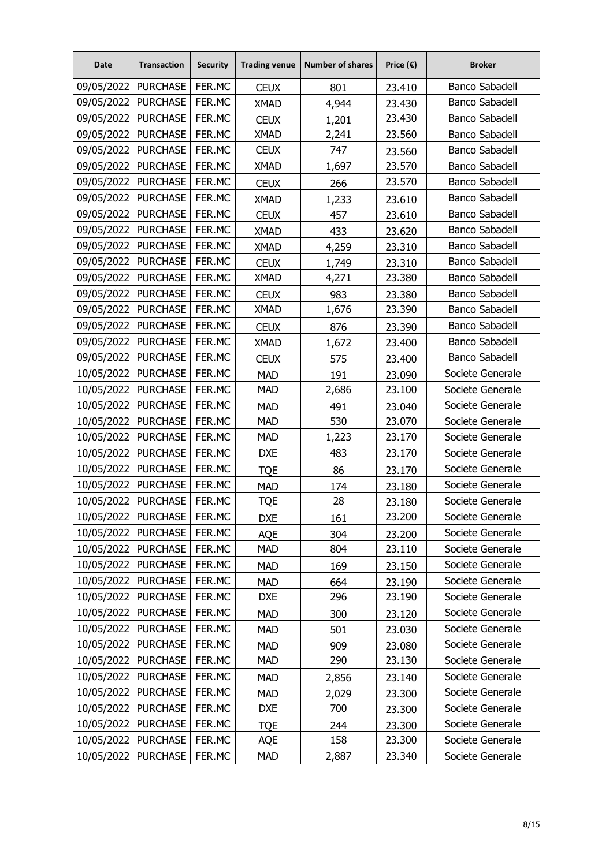| <b>Date</b>           | <b>Transaction</b>    | <b>Security</b> | <b>Trading venue</b> | <b>Number of shares</b> | Price $(\epsilon)$ | <b>Broker</b>         |
|-----------------------|-----------------------|-----------------|----------------------|-------------------------|--------------------|-----------------------|
| 09/05/2022   PURCHASE |                       | FER.MC          | <b>CEUX</b>          | 801                     | 23.410             | <b>Banco Sabadell</b> |
| 09/05/2022            | <b>PURCHASE</b>       | FER.MC          | <b>XMAD</b>          | 4,944                   | 23.430             | <b>Banco Sabadell</b> |
| 09/05/2022            | <b>PURCHASE</b>       | FER.MC          | <b>CEUX</b>          | 1,201                   | 23.430             | <b>Banco Sabadell</b> |
| 09/05/2022            | <b>PURCHASE</b>       | FER.MC          | <b>XMAD</b>          | 2,241                   | 23.560             | <b>Banco Sabadell</b> |
| 09/05/2022            | <b>PURCHASE</b>       | FER.MC          | <b>CEUX</b>          | 747                     | 23.560             | <b>Banco Sabadell</b> |
| 09/05/2022            | <b>PURCHASE</b>       | FER.MC          | <b>XMAD</b>          | 1,697                   | 23.570             | <b>Banco Sabadell</b> |
| 09/05/2022            | <b>PURCHASE</b>       | FER.MC          | <b>CEUX</b>          | 266                     | 23.570             | <b>Banco Sabadell</b> |
| 09/05/2022            | <b>PURCHASE</b>       | FER.MC          | <b>XMAD</b>          | 1,233                   | 23.610             | <b>Banco Sabadell</b> |
| 09/05/2022            | <b>PURCHASE</b>       | FER.MC          | <b>CEUX</b>          | 457                     | 23.610             | <b>Banco Sabadell</b> |
| 09/05/2022            | <b>PURCHASE</b>       | FER.MC          | <b>XMAD</b>          | 433                     | 23.620             | <b>Banco Sabadell</b> |
| 09/05/2022            | <b>PURCHASE</b>       | FER.MC          | <b>XMAD</b>          | 4,259                   | 23.310             | <b>Banco Sabadell</b> |
| 09/05/2022            | <b>PURCHASE</b>       | FER.MC          | <b>CEUX</b>          | 1,749                   | 23.310             | <b>Banco Sabadell</b> |
| 09/05/2022   PURCHASE |                       | FER.MC          | <b>XMAD</b>          | 4,271                   | 23.380             | <b>Banco Sabadell</b> |
| 09/05/2022            | <b>PURCHASE</b>       | FER.MC          | <b>CEUX</b>          | 983                     | 23.380             | <b>Banco Sabadell</b> |
| 09/05/2022            | <b>PURCHASE</b>       | FER.MC          | <b>XMAD</b>          | 1,676                   | 23.390             | <b>Banco Sabadell</b> |
| 09/05/2022            | <b>PURCHASE</b>       | FER.MC          | <b>CEUX</b>          | 876                     | 23.390             | <b>Banco Sabadell</b> |
| 09/05/2022            | <b>PURCHASE</b>       | FER.MC          | <b>XMAD</b>          | 1,672                   | 23.400             | <b>Banco Sabadell</b> |
| 09/05/2022            | <b>PURCHASE</b>       | FER.MC          | <b>CEUX</b>          | 575                     | 23.400             | <b>Banco Sabadell</b> |
| 10/05/2022            | <b>PURCHASE</b>       | FER.MC          | <b>MAD</b>           | 191                     | 23.090             | Societe Generale      |
| 10/05/2022            | <b>PURCHASE</b>       | FER.MC          | <b>MAD</b>           | 2,686                   | 23.100             | Societe Generale      |
| 10/05/2022            | <b>PURCHASE</b>       | FER.MC          | <b>MAD</b>           | 491                     | 23.040             | Societe Generale      |
| 10/05/2022            | <b>PURCHASE</b>       | FER.MC          | <b>MAD</b>           | 530                     | 23.070             | Societe Generale      |
| 10/05/2022            | <b>PURCHASE</b>       | FER.MC          | <b>MAD</b>           | 1,223                   | 23.170             | Societe Generale      |
| 10/05/2022            | <b>PURCHASE</b>       | FER.MC          | <b>DXE</b>           | 483                     | 23.170             | Societe Generale      |
| 10/05/2022            | <b>PURCHASE</b>       | FER.MC          | <b>TQE</b>           | 86                      | 23.170             | Societe Generale      |
| 10/05/2022            | <b>PURCHASE</b>       | FER.MC          | <b>MAD</b>           | 174                     | 23.180             | Societe Generale      |
| 10/05/2022            | <b>PURCHASE</b>       | FER.MC          | <b>TQE</b>           | 28                      | 23.180             | Societe Generale      |
| 10/05/2022            | <b>PURCHASE</b>       | FER.MC          | <b>DXE</b>           | 161                     | 23.200             | Societe Generale      |
| 10/05/2022            | <b>PURCHASE</b>       | FER.MC          | AQE                  | 304                     | 23.200             | Societe Generale      |
|                       | 10/05/2022   PURCHASE | FER.MC          | <b>MAD</b>           | 804                     | 23.110             | Societe Generale      |
| 10/05/2022            | <b>PURCHASE</b>       | FER.MC          | <b>MAD</b>           | 169                     | 23.150             | Societe Generale      |
|                       | 10/05/2022   PURCHASE | FER.MC          | <b>MAD</b>           | 664                     | 23.190             | Societe Generale      |
| 10/05/2022            | <b>PURCHASE</b>       | FER.MC          | <b>DXE</b>           | 296                     | 23.190             | Societe Generale      |
| 10/05/2022            | <b>PURCHASE</b>       | FER.MC          | <b>MAD</b>           | 300                     | 23.120             | Societe Generale      |
|                       | 10/05/2022 PURCHASE   | FER.MC          | <b>MAD</b>           | 501                     | 23.030             | Societe Generale      |
| 10/05/2022            | <b>PURCHASE</b>       | FER.MC          | <b>MAD</b>           | 909                     | 23.080             | Societe Generale      |
| 10/05/2022            | <b>PURCHASE</b>       | FER.MC          | <b>MAD</b>           | 290                     | 23.130             | Societe Generale      |
| 10/05/2022            | <b>PURCHASE</b>       | FER.MC          | <b>MAD</b>           | 2,856                   | 23.140             | Societe Generale      |
| 10/05/2022            | <b>PURCHASE</b>       | FER.MC          | <b>MAD</b>           | 2,029                   | 23.300             | Societe Generale      |
| 10/05/2022            | <b>PURCHASE</b>       | FER.MC          | <b>DXE</b>           | 700                     | 23.300             | Societe Generale      |
| 10/05/2022            | <b>PURCHASE</b>       | FER.MC          | <b>TQE</b>           | 244                     | 23.300             | Societe Generale      |
| 10/05/2022            | <b>PURCHASE</b>       | FER.MC          | AQE                  | 158                     | 23.300             | Societe Generale      |
| 10/05/2022            | <b>PURCHASE</b>       | FER.MC          | <b>MAD</b>           | 2,887                   | 23.340             | Societe Generale      |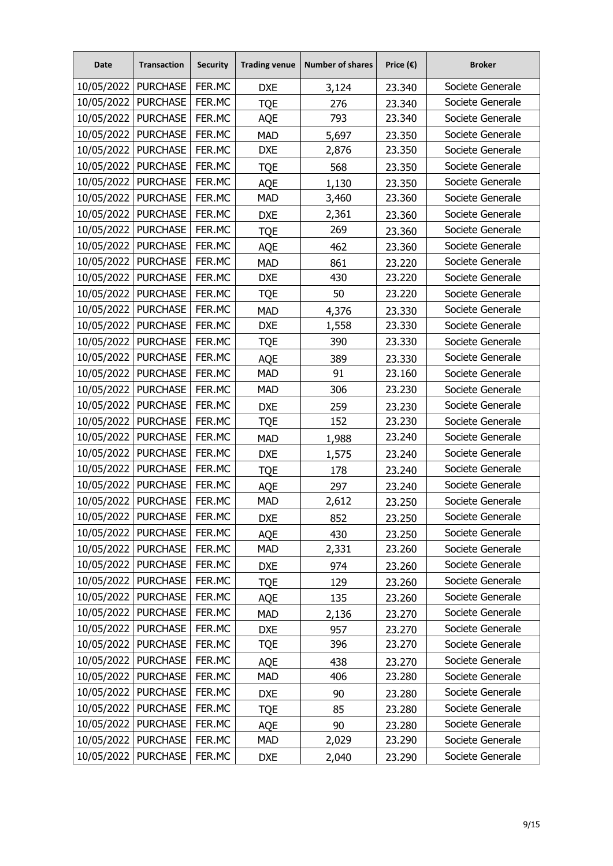| Date                  | <b>Transaction</b> | <b>Security</b> | <b>Trading venue</b> | <b>Number of shares</b> | Price $(\epsilon)$ | <b>Broker</b>    |
|-----------------------|--------------------|-----------------|----------------------|-------------------------|--------------------|------------------|
| 10/05/2022            | <b>PURCHASE</b>    | FER.MC          | <b>DXE</b>           | 3,124                   | 23.340             | Societe Generale |
| 10/05/2022            | <b>PURCHASE</b>    | FER.MC          | <b>TQE</b>           | 276                     | 23.340             | Societe Generale |
| 10/05/2022            | <b>PURCHASE</b>    | FER.MC          | AQE                  | 793                     | 23.340             | Societe Generale |
| 10/05/2022            | <b>PURCHASE</b>    | FER.MC          | <b>MAD</b>           | 5,697                   | 23.350             | Societe Generale |
| 10/05/2022            | <b>PURCHASE</b>    | FER.MC          | <b>DXE</b>           | 2,876                   | 23.350             | Societe Generale |
| 10/05/2022   PURCHASE |                    | FER.MC          | <b>TQE</b>           | 568                     | 23.350             | Societe Generale |
| 10/05/2022            | <b>PURCHASE</b>    | FER.MC          | AQE                  | 1,130                   | 23.350             | Societe Generale |
| 10/05/2022            | <b>PURCHASE</b>    | FER.MC          | <b>MAD</b>           | 3,460                   | 23.360             | Societe Generale |
| 10/05/2022            | <b>PURCHASE</b>    | FER.MC          | <b>DXE</b>           | 2,361                   | 23.360             | Societe Generale |
| 10/05/2022            | <b>PURCHASE</b>    | FER.MC          | <b>TQE</b>           | 269                     | 23.360             | Societe Generale |
| 10/05/2022            | <b>PURCHASE</b>    | FER.MC          | <b>AQE</b>           | 462                     | 23.360             | Societe Generale |
| 10/05/2022            | <b>PURCHASE</b>    | FER.MC          | <b>MAD</b>           | 861                     | 23.220             | Societe Generale |
| 10/05/2022            | <b>PURCHASE</b>    | FER.MC          | <b>DXE</b>           | 430                     | 23.220             | Societe Generale |
| 10/05/2022            | <b>PURCHASE</b>    | FER.MC          | <b>TQE</b>           | 50                      | 23.220             | Societe Generale |
| 10/05/2022            | <b>PURCHASE</b>    | FER.MC          | <b>MAD</b>           | 4,376                   | 23.330             | Societe Generale |
| 10/05/2022            | <b>PURCHASE</b>    | FER.MC          | <b>DXE</b>           | 1,558                   | 23.330             | Societe Generale |
| 10/05/2022            | <b>PURCHASE</b>    | FER.MC          | <b>TQE</b>           | 390                     | 23.330             | Societe Generale |
| 10/05/2022            | <b>PURCHASE</b>    | FER.MC          | <b>AQE</b>           | 389                     | 23.330             | Societe Generale |
| 10/05/2022            | <b>PURCHASE</b>    | FER.MC          | <b>MAD</b>           | 91                      | 23.160             | Societe Generale |
| 10/05/2022            | <b>PURCHASE</b>    | FER.MC          | <b>MAD</b>           | 306                     | 23.230             | Societe Generale |
| 10/05/2022            | <b>PURCHASE</b>    | FER.MC          | <b>DXE</b>           | 259                     | 23.230             | Societe Generale |
| 10/05/2022            | <b>PURCHASE</b>    | FER.MC          | <b>TQE</b>           | 152                     | 23.230             | Societe Generale |
| 10/05/2022            | <b>PURCHASE</b>    | FER.MC          | <b>MAD</b>           | 1,988                   | 23.240             | Societe Generale |
| 10/05/2022            | <b>PURCHASE</b>    | FER.MC          | <b>DXE</b>           | 1,575                   | 23.240             | Societe Generale |
| 10/05/2022            | <b>PURCHASE</b>    | FER.MC          | <b>TQE</b>           | 178                     | 23.240             | Societe Generale |
| 10/05/2022            | <b>PURCHASE</b>    | FER.MC          | <b>AQE</b>           | 297                     | 23.240             | Societe Generale |
| 10/05/2022            | <b>PURCHASE</b>    | FER.MC          | <b>MAD</b>           | 2,612                   | 23.250             | Societe Generale |
| 10/05/2022            | <b>PURCHASE</b>    | FER.MC          | <b>DXE</b>           | 852                     | 23.250             | Societe Generale |
| 10/05/2022            | <b>PURCHASE</b>    | FER.MC          | AQE                  | 430                     | 23.250             | Societe Generale |
| 10/05/2022   PURCHASE |                    | FER.MC          | <b>MAD</b>           | 2,331                   | 23.260             | Societe Generale |
| 10/05/2022            | <b>PURCHASE</b>    | FER.MC          | <b>DXE</b>           | 974                     | 23.260             | Societe Generale |
| 10/05/2022            | <b>PURCHASE</b>    | FER.MC          | <b>TQE</b>           | 129                     | 23.260             | Societe Generale |
| 10/05/2022            | <b>PURCHASE</b>    | FER.MC          | AQE                  | 135                     | 23.260             | Societe Generale |
| 10/05/2022            | <b>PURCHASE</b>    | FER.MC          | <b>MAD</b>           | 2,136                   | 23.270             | Societe Generale |
| 10/05/2022            | <b>PURCHASE</b>    | FER.MC          | <b>DXE</b>           | 957                     | 23.270             | Societe Generale |
| 10/05/2022            | <b>PURCHASE</b>    | FER.MC          | <b>TQE</b>           | 396                     | 23.270             | Societe Generale |
| 10/05/2022            | <b>PURCHASE</b>    | FER.MC          | AQE                  | 438                     | 23.270             | Societe Generale |
| 10/05/2022            | <b>PURCHASE</b>    | FER.MC          | <b>MAD</b>           | 406                     | 23.280             | Societe Generale |
| 10/05/2022            | <b>PURCHASE</b>    | FER.MC          | <b>DXE</b>           | 90                      | 23.280             | Societe Generale |
| 10/05/2022            | <b>PURCHASE</b>    | FER.MC          | <b>TQE</b>           | 85                      | 23.280             | Societe Generale |
| 10/05/2022            | <b>PURCHASE</b>    | FER.MC          | AQE                  | 90                      | 23.280             | Societe Generale |
| 10/05/2022            | <b>PURCHASE</b>    | FER.MC          | <b>MAD</b>           | 2,029                   | 23.290             | Societe Generale |
| 10/05/2022            | <b>PURCHASE</b>    | FER.MC          | <b>DXE</b>           | 2,040                   | 23.290             | Societe Generale |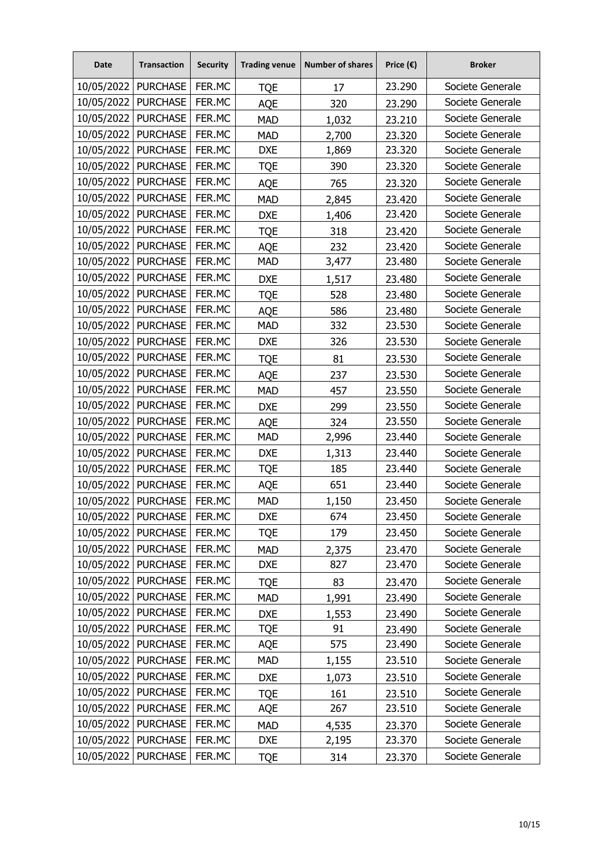| <b>Date</b>           | <b>Transaction</b>    | <b>Security</b> | <b>Trading venue</b> | <b>Number of shares</b> | Price $(\epsilon)$ | <b>Broker</b>    |
|-----------------------|-----------------------|-----------------|----------------------|-------------------------|--------------------|------------------|
| 10/05/2022            | <b>PURCHASE</b>       | FER.MC          | <b>TQE</b>           | 17                      | 23.290             | Societe Generale |
| 10/05/2022            | <b>PURCHASE</b>       | FER.MC          | <b>AQE</b>           | 320                     | 23.290             | Societe Generale |
| 10/05/2022            | <b>PURCHASE</b>       | FER.MC          | <b>MAD</b>           | 1,032                   | 23.210             | Societe Generale |
| 10/05/2022            | <b>PURCHASE</b>       | FER.MC          | <b>MAD</b>           | 2,700                   | 23.320             | Societe Generale |
| 10/05/2022            | <b>PURCHASE</b>       | FER.MC          | <b>DXE</b>           | 1,869                   | 23.320             | Societe Generale |
| 10/05/2022            | <b>PURCHASE</b>       | FER.MC          | <b>TQE</b>           | 390                     | 23.320             | Societe Generale |
| 10/05/2022            | <b>PURCHASE</b>       | FER.MC          | AQE                  | 765                     | 23.320             | Societe Generale |
| 10/05/2022            | <b>PURCHASE</b>       | FER.MC          | <b>MAD</b>           | 2,845                   | 23.420             | Societe Generale |
| 10/05/2022            | <b>PURCHASE</b>       | FER.MC          | <b>DXE</b>           | 1,406                   | 23.420             | Societe Generale |
| 10/05/2022            | <b>PURCHASE</b>       | FER.MC          | <b>TQE</b>           | 318                     | 23.420             | Societe Generale |
| 10/05/2022            | <b>PURCHASE</b>       | FER.MC          | <b>AQE</b>           | 232                     | 23.420             | Societe Generale |
| 10/05/2022            | <b>PURCHASE</b>       | FER.MC          | <b>MAD</b>           | 3,477                   | 23.480             | Societe Generale |
| 10/05/2022   PURCHASE |                       | FER.MC          | <b>DXE</b>           | 1,517                   | 23.480             | Societe Generale |
| 10/05/2022            | <b>PURCHASE</b>       | FER.MC          | <b>TQE</b>           | 528                     | 23.480             | Societe Generale |
| 10/05/2022            | <b>PURCHASE</b>       | FER.MC          | AQE                  | 586                     | 23.480             | Societe Generale |
| 10/05/2022            | <b>PURCHASE</b>       | FER.MC          | <b>MAD</b>           | 332                     | 23.530             | Societe Generale |
| 10/05/2022            | <b>PURCHASE</b>       | FER.MC          | <b>DXE</b>           | 326                     | 23.530             | Societe Generale |
| 10/05/2022            | <b>PURCHASE</b>       | FER.MC          | <b>TQE</b>           | 81                      | 23.530             | Societe Generale |
| 10/05/2022            | <b>PURCHASE</b>       | FER.MC          | <b>AQE</b>           | 237                     | 23.530             | Societe Generale |
| 10/05/2022            | <b>PURCHASE</b>       | FER.MC          | <b>MAD</b>           | 457                     | 23.550             | Societe Generale |
| 10/05/2022            | <b>PURCHASE</b>       | FER.MC          | <b>DXE</b>           | 299                     | 23.550             | Societe Generale |
| 10/05/2022            | <b>PURCHASE</b>       | FER.MC          | <b>AQE</b>           | 324                     | 23.550             | Societe Generale |
| 10/05/2022            | <b>PURCHASE</b>       | FER.MC          | <b>MAD</b>           | 2,996                   | 23.440             | Societe Generale |
| 10/05/2022            | <b>PURCHASE</b>       | FER.MC          | <b>DXE</b>           | 1,313                   | 23.440             | Societe Generale |
| 10/05/2022            | <b>PURCHASE</b>       | FER.MC          | <b>TQE</b>           | 185                     | 23.440             | Societe Generale |
| 10/05/2022            | <b>PURCHASE</b>       | FER.MC          | <b>AQE</b>           | 651                     | 23.440             | Societe Generale |
| 10/05/2022            | <b>PURCHASE</b>       | FER.MC          | <b>MAD</b>           | 1,150                   | 23.450             | Societe Generale |
| 10/05/2022            | <b>PURCHASE</b>       | FER.MC          | <b>DXE</b>           | 674                     | 23.450             | Societe Generale |
| 10/05/2022            | <b>PURCHASE</b>       | FER.MC          | <b>TQE</b>           | 179                     | 23.450             | Societe Generale |
|                       | 10/05/2022   PURCHASE | FER.MC          | <b>MAD</b>           | 2,375                   | 23.470             | Societe Generale |
| 10/05/2022            | <b>PURCHASE</b>       | FER.MC          | <b>DXE</b>           | 827                     | 23.470             | Societe Generale |
|                       | 10/05/2022   PURCHASE | FER.MC          | <b>TQE</b>           | 83                      | 23.470             | Societe Generale |
| 10/05/2022            | <b>PURCHASE</b>       | FER.MC          | <b>MAD</b>           | 1,991                   | 23.490             | Societe Generale |
| 10/05/2022            | <b>PURCHASE</b>       | FER.MC          | <b>DXE</b>           | 1,553                   | 23.490             | Societe Generale |
|                       | 10/05/2022   PURCHASE | FER.MC          | <b>TQE</b>           | 91                      | 23.490             | Societe Generale |
| 10/05/2022            | <b>PURCHASE</b>       | FER.MC          | AQE                  | 575                     | 23.490             | Societe Generale |
| 10/05/2022            | <b>PURCHASE</b>       | FER.MC          | <b>MAD</b>           | 1,155                   | 23.510             | Societe Generale |
| 10/05/2022            | <b>PURCHASE</b>       | FER.MC          | <b>DXE</b>           | 1,073                   | 23.510             | Societe Generale |
| 10/05/2022            | <b>PURCHASE</b>       | FER.MC          | <b>TQE</b>           | 161                     | 23.510             | Societe Generale |
| 10/05/2022            | <b>PURCHASE</b>       | FER.MC          | AQE                  | 267                     | 23.510             | Societe Generale |
| 10/05/2022            | <b>PURCHASE</b>       | FER.MC          | <b>MAD</b>           | 4,535                   | 23.370             | Societe Generale |
| 10/05/2022            | <b>PURCHASE</b>       | FER.MC          | <b>DXE</b>           | 2,195                   | 23.370             | Societe Generale |
| 10/05/2022            | <b>PURCHASE</b>       | FER.MC          | <b>TQE</b>           | 314                     | 23.370             | Societe Generale |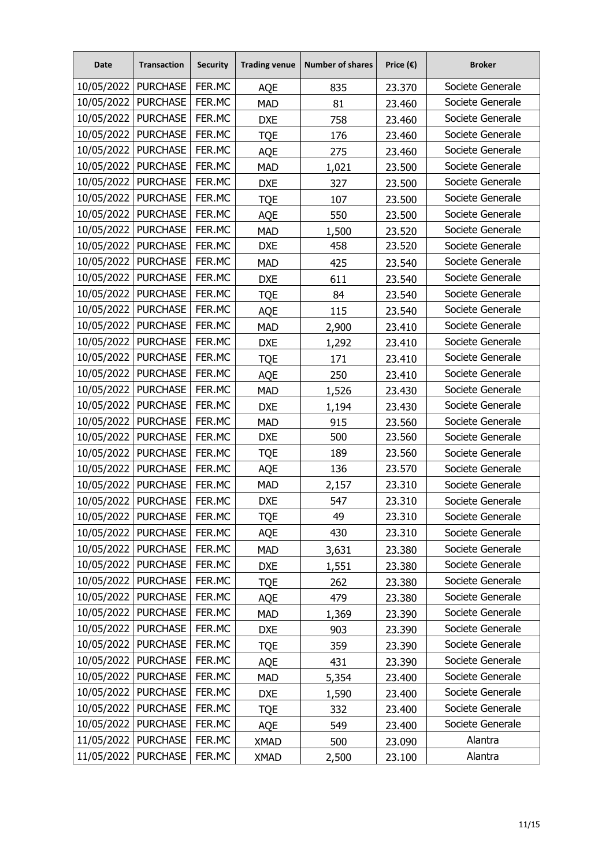| <b>Date</b>           | <b>Transaction</b>    | <b>Security</b> | <b>Trading venue</b> | <b>Number of shares</b> | Price $(\epsilon)$ | <b>Broker</b>    |
|-----------------------|-----------------------|-----------------|----------------------|-------------------------|--------------------|------------------|
| 10/05/2022   PURCHASE |                       | FER.MC          | <b>AQE</b>           | 835                     | 23.370             | Societe Generale |
| 10/05/2022            | <b>PURCHASE</b>       | FER.MC          | <b>MAD</b>           | 81                      | 23.460             | Societe Generale |
| 10/05/2022            | <b>PURCHASE</b>       | FER.MC          | <b>DXE</b>           | 758                     | 23.460             | Societe Generale |
| 10/05/2022            | <b>PURCHASE</b>       | FER.MC          | <b>TQE</b>           | 176                     | 23.460             | Societe Generale |
| 10/05/2022            | <b>PURCHASE</b>       | FER.MC          | <b>AQE</b>           | 275                     | 23.460             | Societe Generale |
| 10/05/2022            | <b>PURCHASE</b>       | FER.MC          | <b>MAD</b>           | 1,021                   | 23.500             | Societe Generale |
| 10/05/2022            | <b>PURCHASE</b>       | FER.MC          | <b>DXE</b>           | 327                     | 23.500             | Societe Generale |
| 10/05/2022            | <b>PURCHASE</b>       | FER.MC          | <b>TQE</b>           | 107                     | 23.500             | Societe Generale |
| 10/05/2022            | <b>PURCHASE</b>       | FER.MC          | <b>AQE</b>           | 550                     | 23.500             | Societe Generale |
| 10/05/2022            | <b>PURCHASE</b>       | FER.MC          | <b>MAD</b>           | 1,500                   | 23.520             | Societe Generale |
| 10/05/2022            | <b>PURCHASE</b>       | FER.MC          | <b>DXE</b>           | 458                     | 23.520             | Societe Generale |
| 10/05/2022            | <b>PURCHASE</b>       | FER.MC          | <b>MAD</b>           | 425                     | 23.540             | Societe Generale |
| 10/05/2022   PURCHASE |                       | FER.MC          | <b>DXE</b>           | 611                     | 23.540             | Societe Generale |
| 10/05/2022            | <b>PURCHASE</b>       | FER.MC          | <b>TQE</b>           | 84                      | 23.540             | Societe Generale |
| 10/05/2022            | <b>PURCHASE</b>       | FER.MC          | <b>AQE</b>           | 115                     | 23.540             | Societe Generale |
| 10/05/2022            | <b>PURCHASE</b>       | FER.MC          | <b>MAD</b>           | 2,900                   | 23.410             | Societe Generale |
| 10/05/2022            | <b>PURCHASE</b>       | FER.MC          | <b>DXE</b>           | 1,292                   | 23.410             | Societe Generale |
| 10/05/2022            | <b>PURCHASE</b>       | FER.MC          | <b>TQE</b>           | 171                     | 23.410             | Societe Generale |
| 10/05/2022            | <b>PURCHASE</b>       | FER.MC          | <b>AQE</b>           | 250                     | 23.410             | Societe Generale |
| 10/05/2022            | <b>PURCHASE</b>       | FER.MC          | <b>MAD</b>           | 1,526                   | 23.430             | Societe Generale |
| 10/05/2022            | <b>PURCHASE</b>       | FER.MC          | <b>DXE</b>           | 1,194                   | 23.430             | Societe Generale |
| 10/05/2022            | <b>PURCHASE</b>       | FER.MC          | <b>MAD</b>           | 915                     | 23.560             | Societe Generale |
| 10/05/2022            | <b>PURCHASE</b>       | FER.MC          | <b>DXE</b>           | 500                     | 23.560             | Societe Generale |
| 10/05/2022            | <b>PURCHASE</b>       | FER.MC          | <b>TQE</b>           | 189                     | 23.560             | Societe Generale |
| 10/05/2022            | <b>PURCHASE</b>       | FER.MC          | <b>AQE</b>           | 136                     | 23.570             | Societe Generale |
| 10/05/2022            | <b>PURCHASE</b>       | FER.MC          | <b>MAD</b>           | 2,157                   | 23.310             | Societe Generale |
| 10/05/2022            | <b>PURCHASE</b>       | FER.MC          | <b>DXE</b>           | 547                     | 23.310             | Societe Generale |
| 10/05/2022            | <b>PURCHASE</b>       | FER.MC          | <b>TQE</b>           | 49                      | 23.310             | Societe Generale |
|                       | 10/05/2022   PURCHASE | FER.MC          | AQE                  | 430                     | 23.310             | Societe Generale |
|                       | 10/05/2022   PURCHASE | FER.MC          | <b>MAD</b>           | 3,631                   | 23.380             | Societe Generale |
| 10/05/2022            | <b>PURCHASE</b>       | FER.MC          | <b>DXE</b>           | 1,551                   | 23.380             | Societe Generale |
|                       | 10/05/2022   PURCHASE | FER.MC          | <b>TQE</b>           | 262                     | 23.380             | Societe Generale |
| 10/05/2022            | <b>PURCHASE</b>       | FER.MC          | AQE                  | 479                     | 23.380             | Societe Generale |
| 10/05/2022            | <b>PURCHASE</b>       | FER.MC          | <b>MAD</b>           | 1,369                   | 23.390             | Societe Generale |
|                       | 10/05/2022 PURCHASE   | FER.MC          | <b>DXE</b>           | 903                     | 23.390             | Societe Generale |
| 10/05/2022            | <b>PURCHASE</b>       | FER.MC          | <b>TQE</b>           | 359                     | 23.390             | Societe Generale |
| 10/05/2022            | <b>PURCHASE</b>       | FER.MC          | AQE                  | 431                     | 23.390             | Societe Generale |
| 10/05/2022            | <b>PURCHASE</b>       | FER.MC          | <b>MAD</b>           | 5,354                   | 23.400             | Societe Generale |
| 10/05/2022            | <b>PURCHASE</b>       | FER.MC          | <b>DXE</b>           | 1,590                   | 23.400             | Societe Generale |
| 10/05/2022            | <b>PURCHASE</b>       | FER.MC          | <b>TQE</b>           | 332                     | 23.400             | Societe Generale |
| 10/05/2022            | <b>PURCHASE</b>       | FER.MC          | AQE                  | 549                     | 23.400             | Societe Generale |
| 11/05/2022            | <b>PURCHASE</b>       | FER.MC          | <b>XMAD</b>          | 500                     | 23.090             | Alantra          |
| 11/05/2022            | <b>PURCHASE</b>       | FER.MC          | <b>XMAD</b>          | 2,500                   | 23.100             | Alantra          |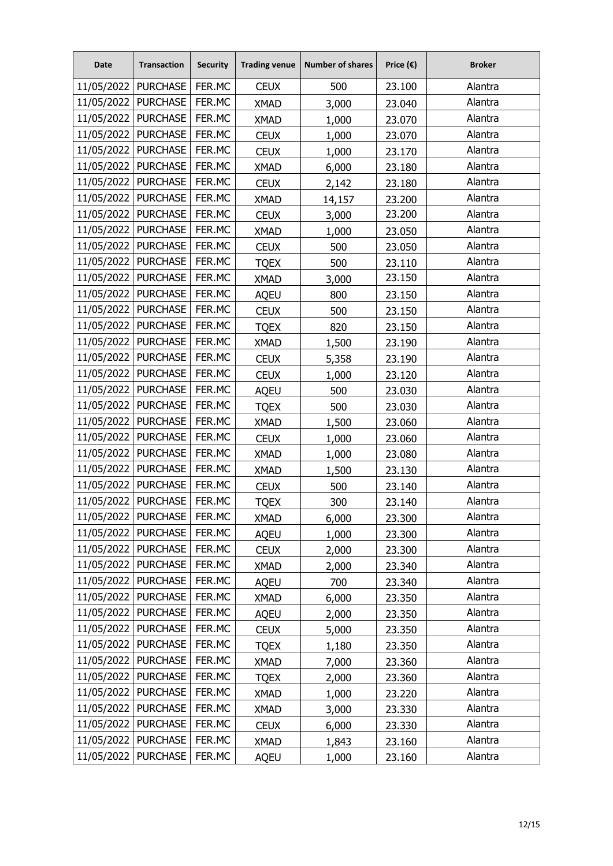| <b>Date</b>           | <b>Transaction</b>    | <b>Security</b> | <b>Trading venue</b> | <b>Number of shares</b> | Price $(\epsilon)$ | <b>Broker</b> |
|-----------------------|-----------------------|-----------------|----------------------|-------------------------|--------------------|---------------|
| 11/05/2022            | <b>PURCHASE</b>       | FER.MC          | <b>CEUX</b>          | 500                     | 23.100             | Alantra       |
| 11/05/2022            | <b>PURCHASE</b>       | FER.MC          | <b>XMAD</b>          | 3,000                   | 23.040             | Alantra       |
|                       | 11/05/2022   PURCHASE | FER.MC          | <b>XMAD</b>          | 1,000                   | 23.070             | Alantra       |
| 11/05/2022 PURCHASE   |                       | FER.MC          | <b>CEUX</b>          | 1,000                   | 23.070             | Alantra       |
| 11/05/2022            | <b>PURCHASE</b>       | FER.MC          | <b>CEUX</b>          | 1,000                   | 23.170             | Alantra       |
| 11/05/2022 PURCHASE   |                       | FER.MC          | <b>XMAD</b>          | 6,000                   | 23.180             | Alantra       |
| 11/05/2022            | <b>PURCHASE</b>       | FER.MC          | <b>CEUX</b>          | 2,142                   | 23.180             | Alantra       |
| 11/05/2022   PURCHASE |                       | FER.MC          | <b>XMAD</b>          | 14,157                  | 23.200             | Alantra       |
| 11/05/2022            | <b>PURCHASE</b>       | FER.MC          | <b>CEUX</b>          | 3,000                   | 23.200             | Alantra       |
| 11/05/2022            | <b>PURCHASE</b>       | FER.MC          | <b>XMAD</b>          | 1,000                   | 23.050             | Alantra       |
| 11/05/2022            | <b>PURCHASE</b>       | FER.MC          | <b>CEUX</b>          | 500                     | 23.050             | Alantra       |
| 11/05/2022            | <b>PURCHASE</b>       | FER.MC          | <b>TQEX</b>          | 500                     | 23.110             | Alantra       |
| 11/05/2022   PURCHASE |                       | FER.MC          | <b>XMAD</b>          | 3,000                   | 23.150             | Alantra       |
| 11/05/2022            | <b>PURCHASE</b>       | FER.MC          | <b>AQEU</b>          | 800                     | 23.150             | Alantra       |
| 11/05/2022            | <b>PURCHASE</b>       | FER.MC          | <b>CEUX</b>          | 500                     | 23.150             | Alantra       |
| 11/05/2022            | <b>PURCHASE</b>       | FER.MC          | <b>TQEX</b>          | 820                     | 23.150             | Alantra       |
| 11/05/2022            | <b>PURCHASE</b>       | FER.MC          | <b>XMAD</b>          | 1,500                   | 23.190             | Alantra       |
| 11/05/2022   PURCHASE |                       | FER.MC          | <b>CEUX</b>          | 5,358                   | 23.190             | Alantra       |
| 11/05/2022            | <b>PURCHASE</b>       | FER.MC          | <b>CEUX</b>          | 1,000                   | 23.120             | Alantra       |
| 11/05/2022   PURCHASE |                       | FER.MC          | <b>AQEU</b>          | 500                     | 23.030             | Alantra       |
| 11/05/2022            | <b>PURCHASE</b>       | FER.MC          | <b>TQEX</b>          | 500                     | 23.030             | Alantra       |
| 11/05/2022            | <b>PURCHASE</b>       | FER.MC          | <b>XMAD</b>          | 1,500                   | 23.060             | Alantra       |
| 11/05/2022 PURCHASE   |                       | FER.MC          | <b>CEUX</b>          | 1,000                   | 23.060             | Alantra       |
| 11/05/2022            | <b>PURCHASE</b>       | FER.MC          | <b>XMAD</b>          | 1,000                   | 23.080             | Alantra       |
| 11/05/2022   PURCHASE |                       | FER.MC          | <b>XMAD</b>          | 1,500                   | 23.130             | Alantra       |
| 11/05/2022            | <b>PURCHASE</b>       | FER.MC          | <b>CEUX</b>          | 500                     | 23.140             | Alantra       |
| 11/05/2022            | <b>PURCHASE</b>       | FER.MC          | <b>TQEX</b>          | 300                     | 23.140             | Alantra       |
| 11/05/2022            | <b>PURCHASE</b>       | FER.MC          | <b>XMAD</b>          | 6,000                   | 23.300             | Alantra       |
| 11/05/2022            | <b>PURCHASE</b>       | FER.MC          | <b>AQEU</b>          | 1,000                   | 23.300             | Alantra       |
|                       | 11/05/2022   PURCHASE | FER.MC          | <b>CEUX</b>          | 2,000                   | 23.300             | Alantra       |
| 11/05/2022            | <b>PURCHASE</b>       | FER.MC          | <b>XMAD</b>          | 2,000                   | 23.340             | Alantra       |
| 11/05/2022            | <b>PURCHASE</b>       | FER.MC          | <b>AQEU</b>          | 700                     | 23.340             | Alantra       |
| 11/05/2022            | <b>PURCHASE</b>       | FER.MC          | <b>XMAD</b>          | 6,000                   | 23.350             | Alantra       |
| 11/05/2022            | <b>PURCHASE</b>       | FER.MC          | <b>AQEU</b>          | 2,000                   | 23.350             | Alantra       |
|                       | 11/05/2022 PURCHASE   | FER.MC          | <b>CEUX</b>          | 5,000                   | 23.350             | Alantra       |
| 11/05/2022            | <b>PURCHASE</b>       | FER.MC          | <b>TQEX</b>          | 1,180                   | 23.350             | Alantra       |
| 11/05/2022            | <b>PURCHASE</b>       | FER.MC          | <b>XMAD</b>          | 7,000                   | 23.360             | Alantra       |
| 11/05/2022            | <b>PURCHASE</b>       | FER.MC          | <b>TQEX</b>          | 2,000                   | 23.360             | Alantra       |
| 11/05/2022            | <b>PURCHASE</b>       | FER.MC          | <b>XMAD</b>          | 1,000                   | 23.220             | Alantra       |
| 11/05/2022            | <b>PURCHASE</b>       | FER.MC          | <b>XMAD</b>          | 3,000                   | 23.330             | Alantra       |
| 11/05/2022            | <b>PURCHASE</b>       | FER.MC          | <b>CEUX</b>          | 6,000                   | 23.330             | Alantra       |
| 11/05/2022            | <b>PURCHASE</b>       | FER.MC          | <b>XMAD</b>          | 1,843                   | 23.160             | Alantra       |
| 11/05/2022            | <b>PURCHASE</b>       | FER.MC          | <b>AQEU</b>          | 1,000                   | 23.160             | Alantra       |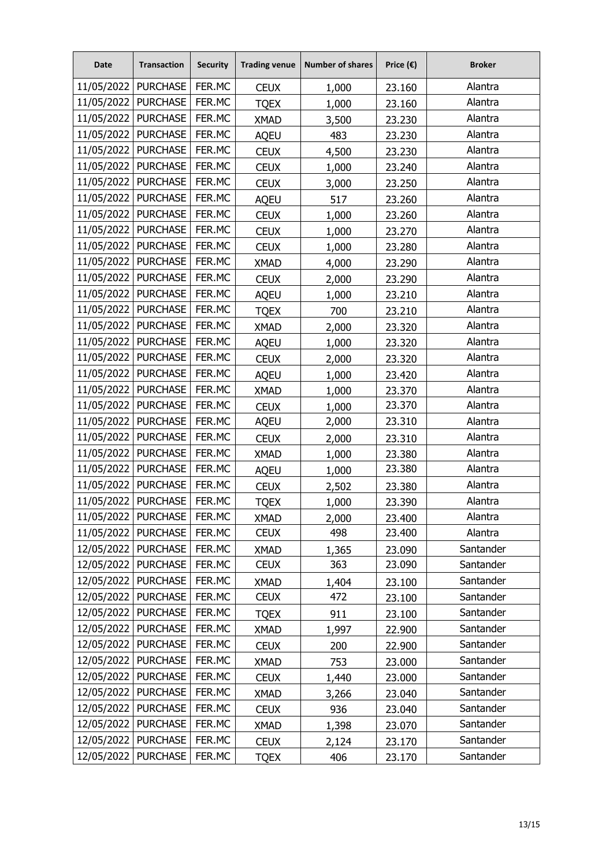| <b>Date</b>           | <b>Transaction</b>    | <b>Security</b> | <b>Trading venue</b> | <b>Number of shares</b> | Price $(\epsilon)$ | <b>Broker</b> |
|-----------------------|-----------------------|-----------------|----------------------|-------------------------|--------------------|---------------|
| 11/05/2022            | <b>PURCHASE</b>       | FER.MC          | <b>CEUX</b>          | 1,000                   | 23.160             | Alantra       |
| 11/05/2022            | <b>PURCHASE</b>       | FER.MC          | <b>TQEX</b>          | 1,000                   | 23.160             | Alantra       |
|                       | 11/05/2022   PURCHASE | FER.MC          | <b>XMAD</b>          | 3,500                   | 23.230             | Alantra       |
| 11/05/2022            | <b>PURCHASE</b>       | FER.MC          | <b>AQEU</b>          | 483                     | 23.230             | Alantra       |
| 11/05/2022            | <b>PURCHASE</b>       | FER.MC          | <b>CEUX</b>          | 4,500                   | 23.230             | Alantra       |
| 11/05/2022   PURCHASE |                       | FER.MC          | <b>CEUX</b>          | 1,000                   | 23.240             | Alantra       |
| 11/05/2022            | <b>PURCHASE</b>       | FER.MC          | <b>CEUX</b>          | 3,000                   | 23.250             | Alantra       |
| 11/05/2022            | <b>PURCHASE</b>       | FER.MC          | <b>AQEU</b>          | 517                     | 23.260             | Alantra       |
| 11/05/2022            | <b>PURCHASE</b>       | FER.MC          | <b>CEUX</b>          | 1,000                   | 23.260             | Alantra       |
| 11/05/2022            | <b>PURCHASE</b>       | FER.MC          | <b>CEUX</b>          | 1,000                   | 23.270             | Alantra       |
| 11/05/2022   PURCHASE |                       | FER.MC          | <b>CEUX</b>          | 1,000                   | 23.280             | Alantra       |
| 11/05/2022            | <b>PURCHASE</b>       | FER.MC          | <b>XMAD</b>          | 4,000                   | 23.290             | Alantra       |
| 11/05/2022   PURCHASE |                       | FER.MC          | <b>CEUX</b>          | 2,000                   | 23.290             | Alantra       |
| 11/05/2022            | <b>PURCHASE</b>       | FER.MC          | <b>AQEU</b>          | 1,000                   | 23.210             | Alantra       |
| 11/05/2022            | <b>PURCHASE</b>       | FER.MC          | <b>TQEX</b>          | 700                     | 23.210             | Alantra       |
| 11/05/2022            | <b>PURCHASE</b>       | FER.MC          | <b>XMAD</b>          | 2,000                   | 23.320             | Alantra       |
| 11/05/2022            | <b>PURCHASE</b>       | FER.MC          | <b>AQEU</b>          | 1,000                   | 23.320             | Alantra       |
| 11/05/2022   PURCHASE |                       | FER.MC          | <b>CEUX</b>          | 2,000                   | 23.320             | Alantra       |
| 11/05/2022            | <b>PURCHASE</b>       | FER.MC          | <b>AQEU</b>          | 1,000                   | 23.420             | Alantra       |
| 11/05/2022            | <b>PURCHASE</b>       | FER.MC          | <b>XMAD</b>          | 1,000                   | 23.370             | Alantra       |
| 11/05/2022            | <b>PURCHASE</b>       | FER.MC          | <b>CEUX</b>          | 1,000                   | 23.370             | Alantra       |
| 11/05/2022            | <b>PURCHASE</b>       | FER.MC          | <b>AQEU</b>          | 2,000                   | 23.310             | Alantra       |
| 11/05/2022   PURCHASE |                       | FER.MC          | <b>CEUX</b>          | 2,000                   | 23.310             | Alantra       |
| 11/05/2022            | <b>PURCHASE</b>       | FER.MC          | <b>XMAD</b>          | 1,000                   | 23.380             | Alantra       |
| 11/05/2022   PURCHASE |                       | FER.MC          | <b>AQEU</b>          | 1,000                   | 23.380             | Alantra       |
| 11/05/2022            | <b>PURCHASE</b>       | FER.MC          | <b>CEUX</b>          | 2,502                   | 23.380             | Alantra       |
| 11/05/2022            | <b>PURCHASE</b>       | FER.MC          | <b>TQEX</b>          | 1,000                   | 23.390             | Alantra       |
| 11/05/2022            | <b>PURCHASE</b>       | FER.MC          | <b>XMAD</b>          | 2,000                   | 23.400             | Alantra       |
| 11/05/2022            | <b>PURCHASE</b>       | FER.MC          | <b>CEUX</b>          | 498                     | 23.400             | Alantra       |
| 12/05/2022   PURCHASE |                       | FER.MC          | <b>XMAD</b>          | 1,365                   | 23.090             | Santander     |
| 12/05/2022            | <b>PURCHASE</b>       | FER.MC          | <b>CEUX</b>          | 363                     | 23.090             | Santander     |
| 12/05/2022            | <b>PURCHASE</b>       | FER.MC          | <b>XMAD</b>          | 1,404                   | 23.100             | Santander     |
| 12/05/2022            | <b>PURCHASE</b>       | FER.MC          | <b>CEUX</b>          | 472                     | 23.100             | Santander     |
| 12/05/2022            | <b>PURCHASE</b>       | FER.MC          | <b>TQEX</b>          | 911                     | 23.100             | Santander     |
| 12/05/2022            | <b>PURCHASE</b>       | FER.MC          | <b>XMAD</b>          | 1,997                   | 22.900             | Santander     |
| 12/05/2022            | <b>PURCHASE</b>       | FER.MC          | <b>CEUX</b>          | 200                     | 22.900             | Santander     |
| 12/05/2022            | <b>PURCHASE</b>       | FER.MC          | <b>XMAD</b>          | 753                     | 23.000             | Santander     |
| 12/05/2022            | <b>PURCHASE</b>       | FER.MC          | <b>CEUX</b>          | 1,440                   | 23.000             | Santander     |
| 12/05/2022            | <b>PURCHASE</b>       | FER.MC          | <b>XMAD</b>          | 3,266                   | 23.040             | Santander     |
| 12/05/2022            | <b>PURCHASE</b>       | FER.MC          | <b>CEUX</b>          | 936                     | 23.040             | Santander     |
| 12/05/2022            | <b>PURCHASE</b>       | FER.MC          | <b>XMAD</b>          | 1,398                   | 23.070             | Santander     |
| 12/05/2022            | <b>PURCHASE</b>       | FER.MC          | <b>CEUX</b>          | 2,124                   | 23.170             | Santander     |
| 12/05/2022            | <b>PURCHASE</b>       | FER.MC          | <b>TQEX</b>          | 406                     | 23.170             | Santander     |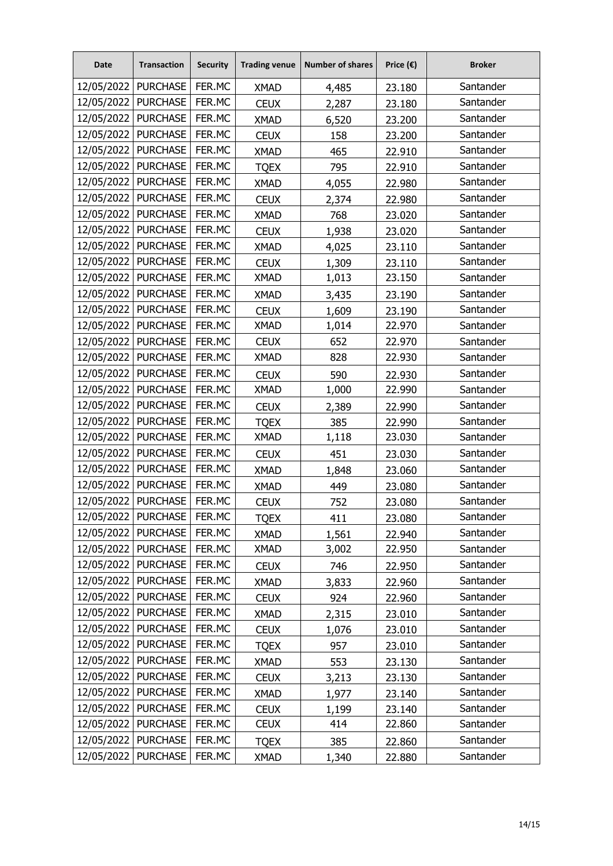| <b>Date</b>           | <b>Transaction</b>    | <b>Security</b> | <b>Trading venue</b> | <b>Number of shares</b> | Price $(\epsilon)$ | <b>Broker</b> |
|-----------------------|-----------------------|-----------------|----------------------|-------------------------|--------------------|---------------|
|                       | 12/05/2022   PURCHASE | FER.MC          | <b>XMAD</b>          | 4,485                   | 23.180             | Santander     |
| 12/05/2022            | <b>PURCHASE</b>       | FER.MC          | <b>CEUX</b>          | 2,287                   | 23.180             | Santander     |
| 12/05/2022   PURCHASE |                       | FER.MC          | <b>XMAD</b>          | 6,520                   | 23.200             | Santander     |
| 12/05/2022            | <b>PURCHASE</b>       | FER.MC          | <b>CEUX</b>          | 158                     | 23.200             | Santander     |
| 12/05/2022            | <b>PURCHASE</b>       | FER.MC          | <b>XMAD</b>          | 465                     | 22.910             | Santander     |
| 12/05/2022            | <b>PURCHASE</b>       | FER.MC          | <b>TQEX</b>          | 795                     | 22.910             | Santander     |
| 12/05/2022            | <b>PURCHASE</b>       | FER.MC          | <b>XMAD</b>          | 4,055                   | 22.980             | Santander     |
| 12/05/2022   PURCHASE |                       | FER.MC          | <b>CEUX</b>          | 2,374                   | 22.980             | Santander     |
| 12/05/2022            | <b>PURCHASE</b>       | FER.MC          | <b>XMAD</b>          | 768                     | 23.020             | Santander     |
| 12/05/2022            | <b>PURCHASE</b>       | FER.MC          | <b>CEUX</b>          | 1,938                   | 23.020             | Santander     |
| 12/05/2022            | <b>PURCHASE</b>       | FER.MC          | <b>XMAD</b>          | 4,025                   | 23.110             | Santander     |
| 12/05/2022            | <b>PURCHASE</b>       | FER.MC          | <b>CEUX</b>          | 1,309                   | 23.110             | Santander     |
|                       | 12/05/2022 PURCHASE   | FER.MC          | <b>XMAD</b>          | 1,013                   | 23.150             | Santander     |
| 12/05/2022            | <b>PURCHASE</b>       | FER.MC          | <b>XMAD</b>          | 3,435                   | 23.190             | Santander     |
| 12/05/2022   PURCHASE |                       | FER.MC          | <b>CEUX</b>          | 1,609                   | 23.190             | Santander     |
| 12/05/2022            | <b>PURCHASE</b>       | FER.MC          | <b>XMAD</b>          | 1,014                   | 22.970             | Santander     |
| 12/05/2022            | <b>PURCHASE</b>       | FER.MC          | <b>CEUX</b>          | 652                     | 22.970             | Santander     |
| 12/05/2022   PURCHASE |                       | FER.MC          | <b>XMAD</b>          | 828                     | 22.930             | Santander     |
| 12/05/2022            | <b>PURCHASE</b>       | FER.MC          | <b>CEUX</b>          | 590                     | 22.930             | Santander     |
| 12/05/2022   PURCHASE |                       | FER.MC          | <b>XMAD</b>          | 1,000                   | 22.990             | Santander     |
| 12/05/2022            | <b>PURCHASE</b>       | FER.MC          | <b>CEUX</b>          | 2,389                   | 22.990             | Santander     |
| 12/05/2022            | <b>PURCHASE</b>       | FER.MC          | <b>TQEX</b>          | 385                     | 22.990             | Santander     |
| 12/05/2022            | <b>PURCHASE</b>       | FER.MC          | <b>XMAD</b>          | 1,118                   | 23.030             | Santander     |
| 12/05/2022            | <b>PURCHASE</b>       | FER.MC          | <b>CEUX</b>          | 451                     | 23.030             | Santander     |
| 12/05/2022            | <b>PURCHASE</b>       | FER.MC          | <b>XMAD</b>          | 1,848                   | 23.060             | Santander     |
| 12/05/2022            | <b>PURCHASE</b>       | FER.MC          | <b>XMAD</b>          | 449                     | 23.080             | Santander     |
| 12/05/2022            | <b>PURCHASE</b>       | FER.MC          | <b>CEUX</b>          | 752                     | 23.080             | Santander     |
| 12/05/2022            | <b>PURCHASE</b>       | FER.MC          | <b>TQEX</b>          | 411                     | 23.080             | Santander     |
| 12/05/2022            | <b>PURCHASE</b>       | FER.MC          | <b>XMAD</b>          | 1,561                   | 22.940             | Santander     |
|                       | 12/05/2022   PURCHASE | FER.MC          | <b>XMAD</b>          | 3,002                   | 22.950             | Santander     |
| 12/05/2022            | <b>PURCHASE</b>       | FER.MC          | <b>CEUX</b>          | 746                     | 22.950             | Santander     |
|                       | 12/05/2022   PURCHASE | FER.MC          | <b>XMAD</b>          | 3,833                   | 22.960             | Santander     |
| 12/05/2022            | <b>PURCHASE</b>       | FER.MC          | <b>CEUX</b>          | 924                     | 22.960             | Santander     |
| 12/05/2022            | <b>PURCHASE</b>       | FER.MC          | <b>XMAD</b>          | 2,315                   | 23.010             | Santander     |
| 12/05/2022            | <b>PURCHASE</b>       | FER.MC          | <b>CEUX</b>          | 1,076                   | 23.010             | Santander     |
| 12/05/2022            | <b>PURCHASE</b>       | FER.MC          | <b>TQEX</b>          | 957                     | 23.010             | Santander     |
| 12/05/2022            | <b>PURCHASE</b>       | FER.MC          | <b>XMAD</b>          | 553                     | 23.130             | Santander     |
| 12/05/2022            | <b>PURCHASE</b>       | FER.MC          | <b>CEUX</b>          | 3,213                   | 23.130             | Santander     |
| 12/05/2022            | <b>PURCHASE</b>       | FER.MC          | <b>XMAD</b>          | 1,977                   | 23.140             | Santander     |
| 12/05/2022            | <b>PURCHASE</b>       | FER.MC          | <b>CEUX</b>          | 1,199                   | 23.140             | Santander     |
| 12/05/2022            | <b>PURCHASE</b>       | FER.MC          | <b>CEUX</b>          | 414                     | 22.860             | Santander     |
| 12/05/2022            | <b>PURCHASE</b>       | FER.MC          | <b>TQEX</b>          | 385                     | 22.860             | Santander     |
| 12/05/2022            | <b>PURCHASE</b>       | FER.MC          | <b>XMAD</b>          | 1,340                   | 22.880             | Santander     |